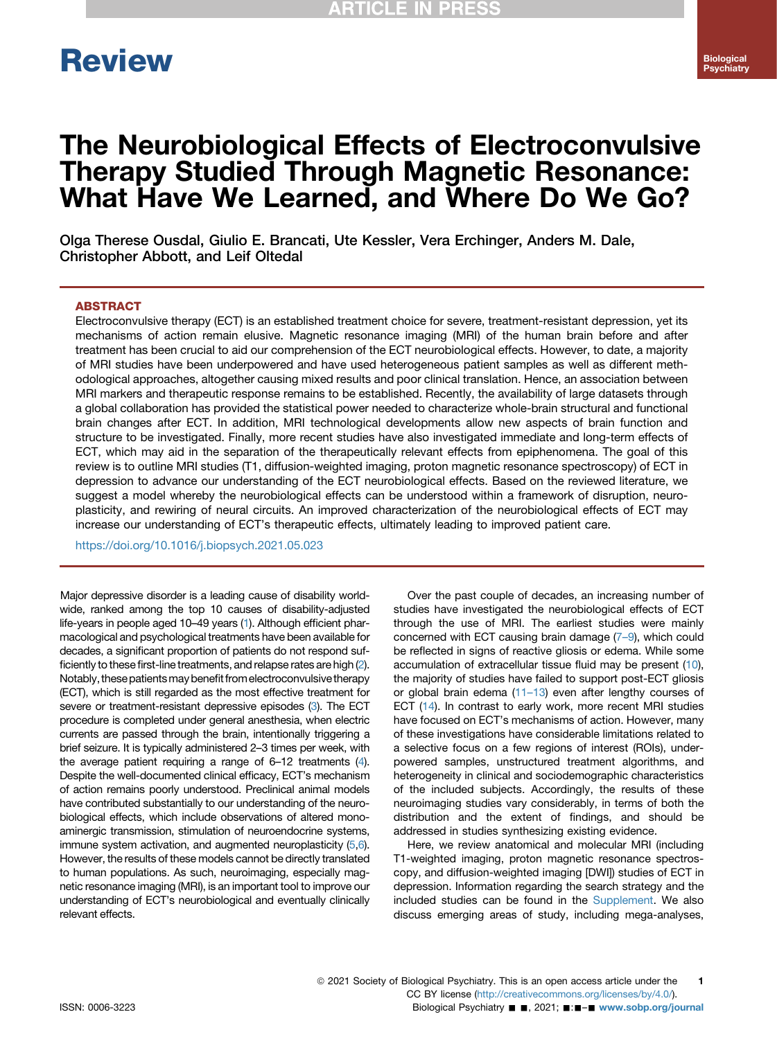# **Review**

## The Neurobiological Effects of Electroconvulsive Therapy Studied Through Magnetic Resonance: What Have We Learned, and Where Do We Go?

Olga Therese Ousdal, Giulio E. Brancati, Ute Kessler, Vera Erchinger, Anders M. Dale, Christopher Abbott, and Leif Oltedal

#### ABSTRACT

Electroconvulsive therapy (ECT) is an established treatment choice for severe, treatment-resistant depression, yet its mechanisms of action remain elusive. Magnetic resonance imaging (MRI) of the human brain before and after treatment has been crucial to aid our comprehension of the ECT neurobiological effects. However, to date, a majority of MRI studies have been underpowered and have used heterogeneous patient samples as well as different methodological approaches, altogether causing mixed results and poor clinical translation. Hence, an association between MRI markers and therapeutic response remains to be established. Recently, the availability of large datasets through a global collaboration has provided the statistical power needed to characterize whole-brain structural and functional brain changes after ECT. In addition, MRI technological developments allow new aspects of brain function and structure to be investigated. Finally, more recent studies have also investigated immediate and long-term effects of ECT, which may aid in the separation of the therapeutically relevant effects from epiphenomena. The goal of this review is to outline MRI studies (T1, diffusion-weighted imaging, proton magnetic resonance spectroscopy) of ECT in depression to advance our understanding of the ECT neurobiological effects. Based on the reviewed literature, we suggest a model whereby the neurobiological effects can be understood within a framework of disruption, neuroplasticity, and rewiring of neural circuits. An improved characterization of the neurobiological effects of ECT may increase our understanding of ECT's therapeutic effects, ultimately leading to improved patient care.

<https://doi.org/10.1016/j.biopsych.2021.05.023>

Major depressive disorder is a leading cause of disability worldwide, ranked among the top 10 causes of disability-adjusted life-years in people aged 10–49 years [\(1\)](#page-5-0). Although efficient pharmacological and psychological treatments have been available for decades, a significant proportion of patients do not respond sufficiently to these first-line treatments, and relapse rates are high ([2](#page-5-1)). Notably, these patients may benefit from electroconvulsive therapy (ECT), which is still regarded as the most effective treatment for severe or treatment-resistant depressive episodes [\(3\)](#page-5-2). The ECT procedure is completed under general anesthesia, when electric currents are passed through the brain, intentionally triggering a brief seizure. It is typically administered 2–3 times per week, with the average patient requiring a range of 6–12 treatments ([4](#page-5-3)). Despite the well-documented clinical efficacy, ECT's mechanism of action remains poorly understood. Preclinical animal models have contributed substantially to our understanding of the neurobiological effects, which include observations of altered monoaminergic transmission, stimulation of neuroendocrine systems, immune system activation, and augmented neuroplasticity [\(5,](#page-6-0)[6](#page-6-1)). However, the results of these models cannot be directly translated to human populations. As such, neuroimaging, especially magnetic resonance imaging (MRI), is an important tool to improve our understanding of ECT's neurobiological and eventually clinically relevant effects.

Over the past couple of decades, an increasing number of studies have investigated the neurobiological effects of ECT through the use of MRI. The earliest studies were mainly concerned with ECT causing brain damage (7–[9\)](#page-6-2), which could be reflected in signs of reactive gliosis or edema. While some accumulation of extracellular tissue fluid may be present [\(10\)](#page-6-3), the majority of studies have failed to support post-ECT gliosis or global brain edema (11–[13\)](#page-6-4) even after lengthy courses of ECT ([14](#page-6-5)). In contrast to early work, more recent MRI studies have focused on ECT's mechanisms of action. However, many of these investigations have considerable limitations related to a selective focus on a few regions of interest (ROIs), underpowered samples, unstructured treatment algorithms, and heterogeneity in clinical and sociodemographic characteristics of the included subjects. Accordingly, the results of these neuroimaging studies vary considerably, in terms of both the distribution and the extent of findings, and should be addressed in studies synthesizing existing evidence.

Here, we review anatomical and molecular MRI (including T1-weighted imaging, proton magnetic resonance spectroscopy, and diffusion-weighted imaging [DWI]) studies of ECT in depression. Information regarding the search strategy and the included studies can be found in the [Supplement](#page-9-0). We also discuss emerging areas of study, including mega-analyses,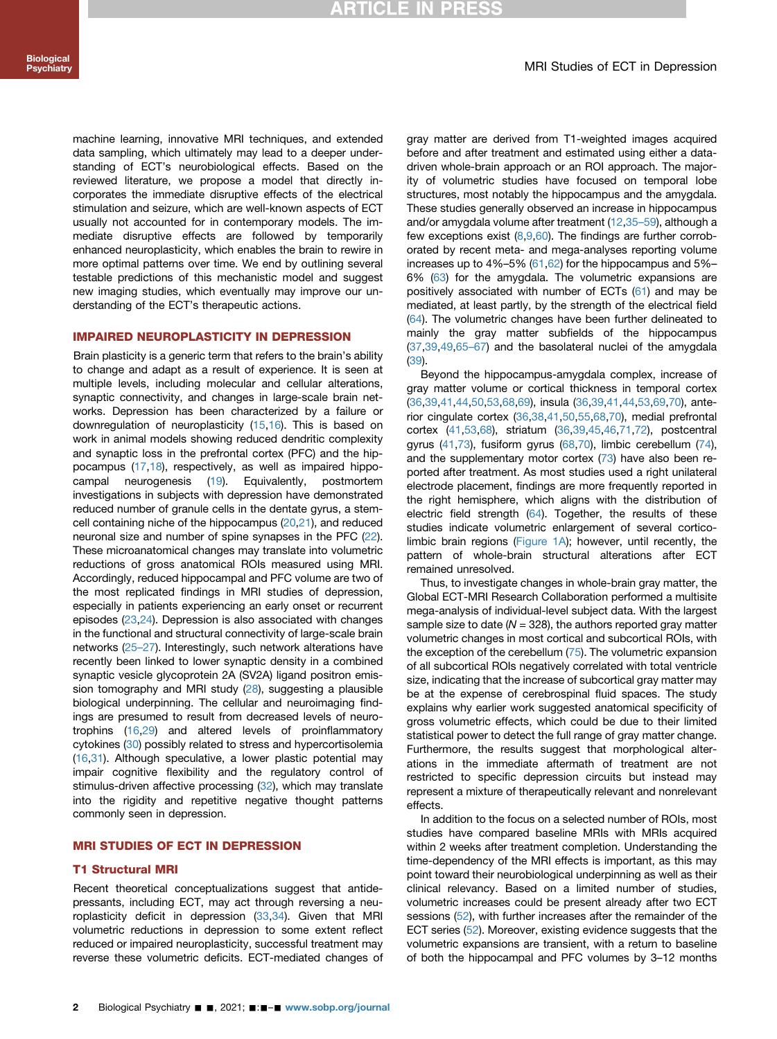machine learning, innovative MRI techniques, and extended data sampling, which ultimately may lead to a deeper understanding of ECT's neurobiological effects. Based on the reviewed literature, we propose a model that directly incorporates the immediate disruptive effects of the electrical stimulation and seizure, which are well-known aspects of ECT usually not accounted for in contemporary models. The immediate disruptive effects are followed by temporarily enhanced neuroplasticity, which enables the brain to rewire in more optimal patterns over time. We end by outlining several testable predictions of this mechanistic model and suggest new imaging studies, which eventually may improve our understanding of the ECT's therapeutic actions.

#### IMPAIRED NEUROPLASTICITY IN DEPRESSION

Brain plasticity is a generic term that refers to the brain's ability to change and adapt as a result of experience. It is seen at multiple levels, including molecular and cellular alterations, synaptic connectivity, and changes in large-scale brain networks. Depression has been characterized by a failure or downregulation of neuroplasticity [\(15,](#page-6-6)[16\)](#page-6-7). This is based on work in animal models showing reduced dendritic complexity and synaptic loss in the prefrontal cortex (PFC) and the hippocampus [\(17](#page-6-8),[18](#page-6-9)), respectively, as well as impaired hippocampal neurogenesis [\(19](#page-6-10)). Equivalently, postmortem investigations in subjects with depression have demonstrated reduced number of granule cells in the dentate gyrus, a stemcell containing niche of the hippocampus [\(20,](#page-6-11)[21](#page-6-12)), and reduced neuronal size and number of spine synapses in the PFC ([22](#page-6-13)). These microanatomical changes may translate into volumetric reductions of gross anatomical ROIs measured using MRI. Accordingly, reduced hippocampal and PFC volume are two of the most replicated findings in MRI studies of depression, especially in patients experiencing an early onset or recurrent episodes ([23](#page-6-14)[,24\)](#page-6-15). Depression is also associated with changes in the functional and structural connectivity of large-scale brain networks [\(25](#page-6-16)–27). Interestingly, such network alterations have recently been linked to lower synaptic density in a combined synaptic vesicle glycoprotein 2A (SV2A) ligand positron emission tomography and MRI study [\(28\)](#page-6-17), suggesting a plausible biological underpinning. The cellular and neuroimaging findings are presumed to result from decreased levels of neurotrophins ([16](#page-6-7)[,29\)](#page-6-18) and altered levels of proinflammatory cytokines [\(30](#page-6-19)) possibly related to stress and hypercortisolemia ([16](#page-6-7),[31\)](#page-6-20). Although speculative, a lower plastic potential may impair cognitive flexibility and the regulatory control of stimulus-driven affective processing ([32](#page-6-21)), which may translate into the rigidity and repetitive negative thought patterns commonly seen in depression.

#### MRI STUDIES OF ECT IN DEPRESSION

#### T1 Structural MRI

Recent theoretical conceptualizations suggest that antidepressants, including ECT, may act through reversing a neuroplasticity deficit in depression [\(33,](#page-6-22)[34](#page-6-23)). Given that MRI volumetric reductions in depression to some extent reflect reduced or impaired neuroplasticity, successful treatment may reverse these volumetric deficits. ECT-mediated changes of gray matter are derived from T1-weighted images acquired before and after treatment and estimated using either a datadriven whole-brain approach or an ROI approach. The majority of volumetric studies have focused on temporal lobe structures, most notably the hippocampus and the amygdala. These studies generally observed an increase in hippocampus and/or amygdala volume after treatment ([12](#page-6-24)[,35](#page-6-25)–59), although a few exceptions exist [\(8](#page-6-26)[,9](#page-6-27)[,60\)](#page-7-0). The findings are further corroborated by recent meta- and mega-analyses reporting volume increases up to 4%–5% ([61](#page-7-1),[62\)](#page-7-2) for the hippocampus and 5%– 6% [\(63\)](#page-7-3) for the amygdala. The volumetric expansions are positively associated with number of ECTs [\(61\)](#page-7-1) and may be mediated, at least partly, by the strength of the electrical field [\(64\)](#page-7-4). The volumetric changes have been further delineated to mainly the gray matter subfields of the hippocampus [\(37,](#page-6-28)[39](#page-6-29),[49](#page-7-5)[,65](#page-7-6)–67) and the basolateral nuclei of the amygdala [\(39\)](#page-6-29).

Beyond the hippocampus-amygdala complex, increase of gray matter volume or cortical thickness in temporal cortex [\(36,](#page-6-30)[39](#page-6-29),[41](#page-6-31)[,44,](#page-7-7)[50](#page-7-8),[53](#page-7-9)[,68,](#page-7-10)[69](#page-7-11)), insula ([36](#page-6-30)[,39,](#page-6-29)[41](#page-6-31),[44](#page-7-7)[,53,](#page-7-9)[69](#page-7-11),[70\)](#page-7-12), anterior cingulate cortex ([36](#page-6-30)[,38,](#page-6-32)[41](#page-6-31),[50](#page-7-8)[,55,](#page-7-13)[68](#page-7-10),[70\)](#page-7-12), medial prefrontal cortex [\(41](#page-6-31),[53](#page-7-9)[,68\)](#page-7-10), striatum ([36](#page-6-30)[,39,](#page-6-29)[45](#page-7-14),[46](#page-7-15)[,71,](#page-7-16)[72](#page-7-17)), postcentral gyrus [\(41](#page-6-31),[73](#page-7-18)), fusiform gyrus ([68](#page-7-10)[,70\)](#page-7-12), limbic cerebellum [\(74\)](#page-7-19), and the supplementary motor cortex ([73\)](#page-7-18) have also been reported after treatment. As most studies used a right unilateral electrode placement, findings are more frequently reported in the right hemisphere, which aligns with the distribution of electric field strength [\(64\)](#page-7-4). Together, the results of these studies indicate volumetric enlargement of several corticolimbic brain regions ([Figure 1A](#page-2-0)); however, until recently, the pattern of whole-brain structural alterations after ECT remained unresolved.

Thus, to investigate changes in whole-brain gray matter, the Global ECT-MRI Research Collaboration performed a multisite mega-analysis of individual-level subject data. With the largest sample size to date ( $N = 328$ ), the authors reported gray matter volumetric changes in most cortical and subcortical ROIs, with the exception of the cerebellum [\(75\)](#page-7-20). The volumetric expansion of all subcortical ROIs negatively correlated with total ventricle size, indicating that the increase of subcortical gray matter may be at the expense of cerebrospinal fluid spaces. The study explains why earlier work suggested anatomical specificity of gross volumetric effects, which could be due to their limited statistical power to detect the full range of gray matter change. Furthermore, the results suggest that morphological alterations in the immediate aftermath of treatment are not restricted to specific depression circuits but instead may represent a mixture of therapeutically relevant and nonrelevant effects.

In addition to the focus on a selected number of ROIs, most studies have compared baseline MRIs with MRIs acquired within 2 weeks after treatment completion. Understanding the time-dependency of the MRI effects is important, as this may point toward their neurobiological underpinning as well as their clinical relevancy. Based on a limited number of studies, volumetric increases could be present already after two ECT sessions ([52](#page-7-21)), with further increases after the remainder of the ECT series [\(52\)](#page-7-21). Moreover, existing evidence suggests that the volumetric expansions are transient, with a return to baseline of both the hippocampal and PFC volumes by 3–12 months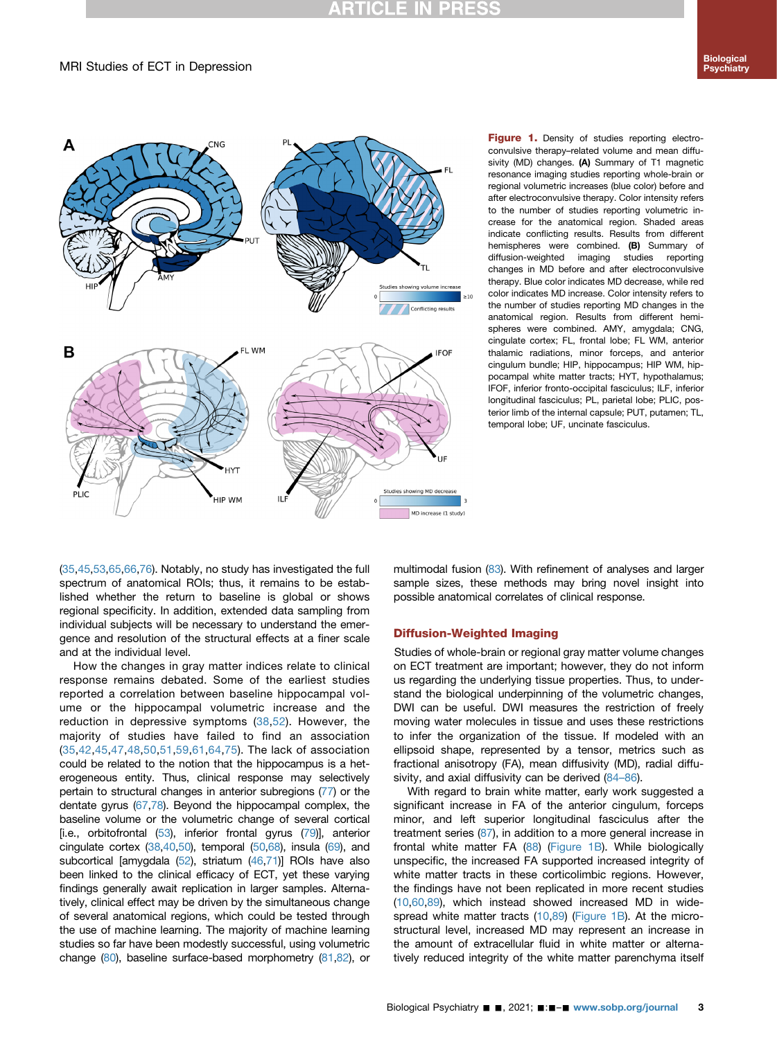### **RTICLE IN PRESS**

#### MRI Studies of ECT in Depression

<span id="page-2-0"></span>

Figure 1. Density of studies reporting electroconvulsive therapy–related volume and mean diffusivity (MD) changes. (A) Summary of T1 magnetic resonance imaging studies reporting whole-brain or regional volumetric increases (blue color) before and after electroconvulsive therapy. Color intensity refers to the number of studies reporting volumetric increase for the anatomical region. Shaded areas indicate conflicting results. Results from different hemispheres were combined. (B) Summary of diffusion-weighted imaging studies reporting changes in MD before and after electroconvulsive therapy. Blue color indicates MD decrease, while red color indicates MD increase. Color intensity refers to the number of studies reporting MD changes in the anatomical region. Results from different hemispheres were combined. AMY, amygdala; CNG, cingulate cortex; FL, frontal lobe; FL WM, anterior thalamic radiations, minor forceps, and anterior cingulum bundle; HIP, hippocampus; HIP WM, hippocampal white matter tracts; HYT, hypothalamus; IFOF, inferior fronto-occipital fasciculus; ILF, inferior longitudinal fasciculus; PL, parietal lobe; PLIC, posterior limb of the internal capsule; PUT, putamen; TL, temporal lobe; UF, uncinate fasciculus.

([35](#page-6-25),[45](#page-7-14)[,53,](#page-7-9)[65](#page-7-6),[66](#page-7-22)[,76\)](#page-7-23). Notably, no study has investigated the full spectrum of anatomical ROIs; thus, it remains to be established whether the return to baseline is global or shows regional specificity. In addition, extended data sampling from individual subjects will be necessary to understand the emergence and resolution of the structural effects at a finer scale and at the individual level.

How the changes in gray matter indices relate to clinical response remains debated. Some of the earliest studies reported a correlation between baseline hippocampal volume or the hippocampal volumetric increase and the reduction in depressive symptoms ([38](#page-6-32)[,52](#page-7-21)). However, the majority of studies have failed to find an association ([35](#page-6-25)[,42](#page-6-33),[45](#page-7-14),[47](#page-7-24),[48,](#page-7-25)[50](#page-7-8)[,51](#page-7-26),[59](#page-7-27),[61](#page-7-1),[64,](#page-7-4)[75\)](#page-7-20). The lack of association could be related to the notion that the hippocampus is a heterogeneous entity. Thus, clinical response may selectively pertain to structural changes in anterior subregions ([77](#page-7-28)) or the dentate gyrus [\(67](#page-7-29),[78\)](#page-7-30). Beyond the hippocampal complex, the baseline volume or the volumetric change of several cortical [i.e., orbitofrontal [\(53](#page-7-9)), inferior frontal gyrus ([79\)](#page-8-0)], anterior cingulate cortex  $(38,40,50)$  $(38,40,50)$  $(38,40,50)$  $(38,40,50)$  $(38,40,50)$ , temporal  $(50,68)$  $(50,68)$  $(50,68)$  $(50,68)$ , insula  $(69)$  $(69)$ , and subcortical [amygdala [\(52\)](#page-7-21), striatum [\(46](#page-7-15)[,71\)](#page-7-16)] ROIs have also been linked to the clinical efficacy of ECT, yet these varying findings generally await replication in larger samples. Alternatively, clinical effect may be driven by the simultaneous change of several anatomical regions, which could be tested through the use of machine learning. The majority of machine learning studies so far have been modestly successful, using volumetric change [\(80](#page-8-1)), baseline surface-based morphometry [\(81](#page-8-2),[82\)](#page-8-3), or

multimodal fusion ([83\)](#page-8-4). With refinement of analyses and larger sample sizes, these methods may bring novel insight into possible anatomical correlates of clinical response.

#### Diffusion-Weighted Imaging

Studies of whole-brain or regional gray matter volume changes on ECT treatment are important; however, they do not inform us regarding the underlying tissue properties. Thus, to understand the biological underpinning of the volumetric changes, DWI can be useful. DWI measures the restriction of freely moving water molecules in tissue and uses these restrictions to infer the organization of the tissue. If modeled with an ellipsoid shape, represented by a tensor, metrics such as fractional anisotropy (FA), mean diffusivity (MD), radial diffusivity, and axial diffusivity can be derived (84–[86\)](#page-8-5).

With regard to brain white matter, early work suggested a significant increase in FA of the anterior cingulum, forceps minor, and left superior longitudinal fasciculus after the treatment series ([87](#page-8-6)), in addition to a more general increase in frontal white matter FA [\(88](#page-8-7)) ([Figure 1B](#page-2-0)). While biologically unspecific, the increased FA supported increased integrity of white matter tracts in these corticolimbic regions. However, the findings have not been replicated in more recent studies [\(10,](#page-6-3)[60,](#page-7-0)[89](#page-8-8)), which instead showed increased MD in widespread white matter tracts [\(10,](#page-6-3)[89](#page-8-8)) [\(Figure 1B](#page-2-0)). At the microstructural level, increased MD may represent an increase in the amount of extracellular fluid in white matter or alternatively reduced integrity of the white matter parenchyma itself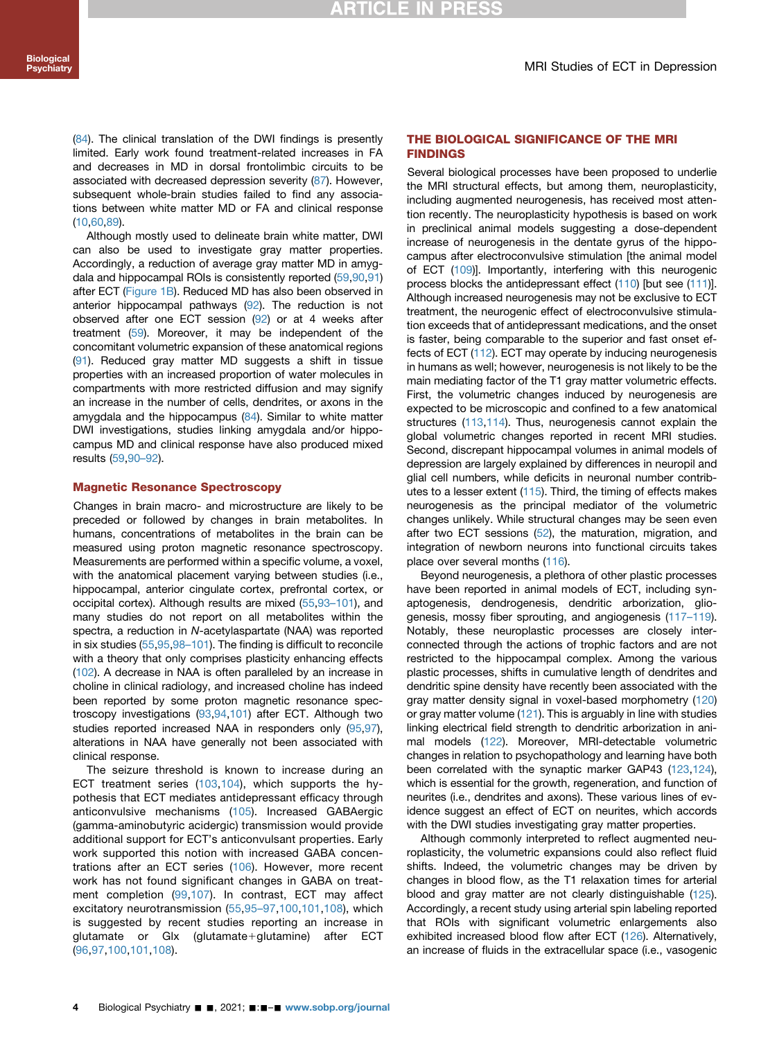([84](#page-8-5)). The clinical translation of the DWI findings is presently limited. Early work found treatment-related increases in FA and decreases in MD in dorsal frontolimbic circuits to be associated with decreased depression severity [\(87\)](#page-8-6). However, subsequent whole-brain studies failed to find any associations between white matter MD or FA and clinical response ([10](#page-6-3),[60](#page-7-0)[,89\)](#page-8-8).

Although mostly used to delineate brain white matter, DWI can also be used to investigate gray matter properties. Accordingly, a reduction of average gray matter MD in amygdala and hippocampal ROIs is consistently reported ([59](#page-7-27)[,90,](#page-8-9)[91](#page-8-10)) after ECT ([Figure 1B](#page-2-0)). Reduced MD has also been observed in anterior hippocampal pathways ([92](#page-8-11)). The reduction is not observed after one ECT session [\(92](#page-8-11)) or at 4 weeks after treatment ([59](#page-7-27)). Moreover, it may be independent of the concomitant volumetric expansion of these anatomical regions ([91](#page-8-10)). Reduced gray matter MD suggests a shift in tissue properties with an increased proportion of water molecules in compartments with more restricted diffusion and may signify an increase in the number of cells, dendrites, or axons in the amygdala and the hippocampus [\(84](#page-8-5)). Similar to white matter DWI investigations, studies linking amygdala and/or hippocampus MD and clinical response have also produced mixed results ([59](#page-7-27)[,90](#page-8-9)–92).

#### Magnetic Resonance Spectroscopy

Changes in brain macro- and microstructure are likely to be preceded or followed by changes in brain metabolites. In humans, concentrations of metabolites in the brain can be measured using proton magnetic resonance spectroscopy. Measurements are performed within a specific volume, a voxel, with the anatomical placement varying between studies (i.e., hippocampal, anterior cingulate cortex, prefrontal cortex, or occipital cortex). Although results are mixed ([55,](#page-7-13)93–[101\)](#page-8-12), and many studies do not report on all metabolites within the spectra, a reduction in N-acetylaspartate (NAA) was reported in six studies ([55](#page-7-13),[95,](#page-8-13)98–[101\)](#page-8-14). The finding is difficult to reconcile with a theory that only comprises plasticity enhancing effects ([102\)](#page-8-15). A decrease in NAA is often paralleled by an increase in choline in clinical radiology, and increased choline has indeed been reported by some proton magnetic resonance spectroscopy investigations ([93](#page-8-12)[,94,](#page-8-16)[101](#page-8-17)) after ECT. Although two studies reported increased NAA in responders only [\(95](#page-8-13),[97](#page-8-18)), alterations in NAA have generally not been associated with clinical response.

The seizure threshold is known to increase during an ECT treatment series [\(103](#page-8-19)[,104\)](#page-8-20), which supports the hypothesis that ECT mediates antidepressant efficacy through anticonvulsive mechanisms ([105](#page-8-21)). Increased GABAergic (gamma-aminobutyric acidergic) transmission would provide additional support for ECT's anticonvulsant properties. Early work supported this notion with increased GABA concentrations after an ECT series [\(106\)](#page-8-22). However, more recent work has not found significant changes in GABA on treatment completion ([99](#page-8-23),[107](#page-8-24)). In contrast, ECT may affect excitatory neurotransmission [\(55,](#page-7-13)95–[97,](#page-8-13)[100,](#page-8-25)[101](#page-8-17),[108](#page-8-26)), which is suggested by recent studies reporting an increase in glutamate or Glx (glutamate+glutamine) after ECT ([96,](#page-8-27)[97,](#page-8-18)[100,](#page-8-25)[101](#page-8-17),[108](#page-8-26)).

#### THE BIOLOGICAL SIGNIFICANCE OF THE MRI FINDINGS

Several biological processes have been proposed to underlie the MRI structural effects, but among them, neuroplasticity, including augmented neurogenesis, has received most attention recently. The neuroplasticity hypothesis is based on work in preclinical animal models suggesting a dose-dependent increase of neurogenesis in the dentate gyrus of the hippocampus after electroconvulsive stimulation [the animal model of ECT ([109\)](#page-8-28)]. Importantly, interfering with this neurogenic process blocks the antidepressant effect [\(110](#page-8-29)) [but see [\(111](#page-8-30))]. Although increased neurogenesis may not be exclusive to ECT treatment, the neurogenic effect of electroconvulsive stimulation exceeds that of antidepressant medications, and the onset is faster, being comparable to the superior and fast onset effects of ECT ([112\)](#page-8-31). ECT may operate by inducing neurogenesis in humans as well; however, neurogenesis is not likely to be the main mediating factor of the T1 gray matter volumetric effects. First, the volumetric changes induced by neurogenesis are expected to be microscopic and confined to a few anatomical structures [\(113](#page-8-32)[,114](#page-8-33)). Thus, neurogenesis cannot explain the global volumetric changes reported in recent MRI studies. Second, discrepant hippocampal volumes in animal models of depression are largely explained by differences in neuropil and glial cell numbers, while deficits in neuronal number contributes to a lesser extent ([115\)](#page-8-34). Third, the timing of effects makes neurogenesis as the principal mediator of the volumetric changes unlikely. While structural changes may be seen even after two ECT sessions [\(52\)](#page-7-21), the maturation, migration, and integration of newborn neurons into functional circuits takes place over several months [\(116](#page-8-35)).

Beyond neurogenesis, a plethora of other plastic processes have been reported in animal models of ECT, including synaptogenesis, dendrogenesis, dendritic arborization, gliogenesis, mossy fiber sprouting, and angiogenesis (117–[119\)](#page-9-1). Notably, these neuroplastic processes are closely interconnected through the actions of trophic factors and are not restricted to the hippocampal complex. Among the various plastic processes, shifts in cumulative length of dendrites and dendritic spine density have recently been associated with the gray matter density signal in voxel-based morphometry ([120\)](#page-9-2) or gray matter volume ([121\)](#page-9-3). This is arguably in line with studies linking electrical field strength to dendritic arborization in animal models [\(122](#page-9-4)). Moreover, MRI-detectable volumetric changes in relation to psychopathology and learning have both been correlated with the synaptic marker GAP43 [\(123](#page-9-5),[124\)](#page-9-6), which is essential for the growth, regeneration, and function of neurites (i.e., dendrites and axons). These various lines of evidence suggest an effect of ECT on neurites, which accords with the DWI studies investigating gray matter properties.

Although commonly interpreted to reflect augmented neuroplasticity, the volumetric expansions could also reflect fluid shifts. Indeed, the volumetric changes may be driven by changes in blood flow, as the T1 relaxation times for arterial blood and gray matter are not clearly distinguishable ([125\)](#page-9-7). Accordingly, a recent study using arterial spin labeling reported that ROIs with significant volumetric enlargements also exhibited increased blood flow after ECT [\(126](#page-9-8)). Alternatively, an increase of fluids in the extracellular space (i.e., vasogenic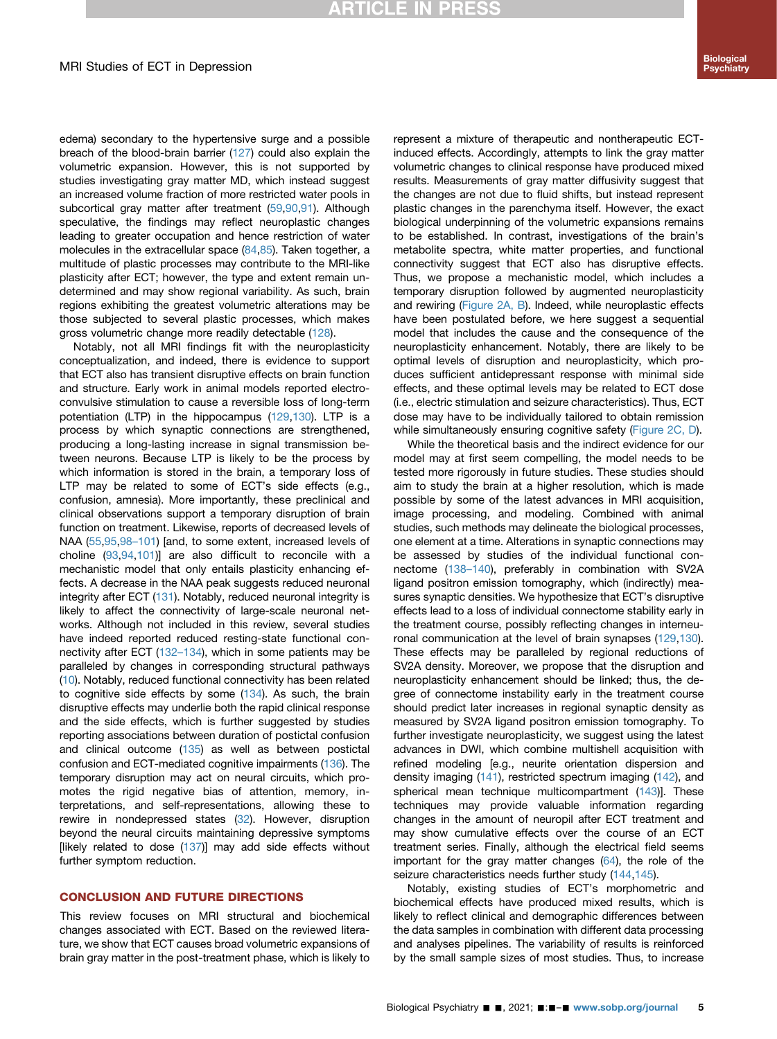## **RTICLE IN PRESS**

edema) secondary to the hypertensive surge and a possible breach of the blood-brain barrier [\(127](#page-9-9)) could also explain the volumetric expansion. However, this is not supported by studies investigating gray matter MD, which instead suggest an increased volume fraction of more restricted water pools in subcortical gray matter after treatment [\(59,](#page-7-27)[90](#page-8-9),[91](#page-8-10)). Although speculative, the findings may reflect neuroplastic changes leading to greater occupation and hence restriction of water molecules in the extracellular space [\(84,](#page-8-5)[85](#page-8-36)). Taken together, a multitude of plastic processes may contribute to the MRI-like plasticity after ECT; however, the type and extent remain undetermined and may show regional variability. As such, brain regions exhibiting the greatest volumetric alterations may be those subjected to several plastic processes, which makes gross volumetric change more readily detectable ([128\)](#page-9-10).

Notably, not all MRI findings fit with the neuroplasticity conceptualization, and indeed, there is evidence to support that ECT also has transient disruptive effects on brain function and structure. Early work in animal models reported electroconvulsive stimulation to cause a reversible loss of long-term potentiation (LTP) in the hippocampus ([129](#page-9-11)[,130](#page-9-12)). LTP is a process by which synaptic connections are strengthened, producing a long-lasting increase in signal transmission between neurons. Because LTP is likely to be the process by which information is stored in the brain, a temporary loss of LTP may be related to some of ECT's side effects (e.g., confusion, amnesia). More importantly, these preclinical and clinical observations support a temporary disruption of brain function on treatment. Likewise, reports of decreased levels of NAA ([55](#page-7-13),[95,](#page-8-13)98–[101\)](#page-8-14) [and, to some extent, increased levels of choline ([93](#page-8-12)[,94,](#page-8-16)[101](#page-8-17))] are also difficult to reconcile with a mechanistic model that only entails plasticity enhancing effects. A decrease in the NAA peak suggests reduced neuronal integrity after ECT [\(131](#page-9-13)). Notably, reduced neuronal integrity is likely to affect the connectivity of large-scale neuronal networks. Although not included in this review, several studies have indeed reported reduced resting-state functional connectivity after ECT (132–[134\)](#page-9-14), which in some patients may be paralleled by changes in corresponding structural pathways ([10](#page-6-3)). Notably, reduced functional connectivity has been related to cognitive side effects by some [\(134](#page-9-15)). As such, the brain disruptive effects may underlie both the rapid clinical response and the side effects, which is further suggested by studies reporting associations between duration of postictal confusion and clinical outcome [\(135](#page-9-16)) as well as between postictal confusion and ECT-mediated cognitive impairments ([136\)](#page-9-17). The temporary disruption may act on neural circuits, which promotes the rigid negative bias of attention, memory, interpretations, and self-representations, allowing these to rewire in nondepressed states ([32](#page-6-21)). However, disruption beyond the neural circuits maintaining depressive symptoms [likely related to dose  $(137)$  $(137)$ ] may add side effects without further symptom reduction.

#### CONCLUSION AND FUTURE DIRECTIONS

This review focuses on MRI structural and biochemical changes associated with ECT. Based on the reviewed literature, we show that ECT causes broad volumetric expansions of brain gray matter in the post-treatment phase, which is likely to represent a mixture of therapeutic and nontherapeutic ECTinduced effects. Accordingly, attempts to link the gray matter volumetric changes to clinical response have produced mixed results. Measurements of gray matter diffusivity suggest that the changes are not due to fluid shifts, but instead represent plastic changes in the parenchyma itself. However, the exact biological underpinning of the volumetric expansions remains to be established. In contrast, investigations of the brain's metabolite spectra, white matter properties, and functional connectivity suggest that ECT also has disruptive effects. Thus, we propose a mechanistic model, which includes a temporary disruption followed by augmented neuroplasticity and rewiring ([Figure 2A, B](#page-5-4)). Indeed, while neuroplastic effects have been postulated before, we here suggest a sequential model that includes the cause and the consequence of the neuroplasticity enhancement. Notably, there are likely to be optimal levels of disruption and neuroplasticity, which produces sufficient antidepressant response with minimal side effects, and these optimal levels may be related to ECT dose (i.e., electric stimulation and seizure characteristics). Thus, ECT dose may have to be individually tailored to obtain remission while simultaneously ensuring cognitive safety [\(Figure 2C, D](#page-5-4)).

While the theoretical basis and the indirect evidence for our model may at first seem compelling, the model needs to be tested more rigorously in future studies. These studies should aim to study the brain at a higher resolution, which is made possible by some of the latest advances in MRI acquisition, image processing, and modeling. Combined with animal studies, such methods may delineate the biological processes, one element at a time. Alterations in synaptic connections may be assessed by studies of the individual functional connectome (138–[140\)](#page-9-19), preferably in combination with SV2A ligand positron emission tomography, which (indirectly) measures synaptic densities. We hypothesize that ECT's disruptive effects lead to a loss of individual connectome stability early in the treatment course, possibly reflecting changes in interneuronal communication at the level of brain synapses [\(129](#page-9-11),[130\)](#page-9-12). These effects may be paralleled by regional reductions of SV2A density. Moreover, we propose that the disruption and neuroplasticity enhancement should be linked; thus, the degree of connectome instability early in the treatment course should predict later increases in regional synaptic density as measured by SV2A ligand positron emission tomography. To further investigate neuroplasticity, we suggest using the latest advances in DWI, which combine multishell acquisition with refined modeling [e.g., neurite orientation dispersion and density imaging [\(141](#page-9-20)), restricted spectrum imaging [\(142](#page-9-21)), and spherical mean technique multicompartment [\(143](#page-9-22))]. These techniques may provide valuable information regarding changes in the amount of neuropil after ECT treatment and may show cumulative effects over the course of an ECT treatment series. Finally, although the electrical field seems important for the gray matter changes [\(64\)](#page-7-4), the role of the seizure characteristics needs further study ([144,](#page-9-23)[145](#page-9-24)).

Notably, existing studies of ECT's morphometric and biochemical effects have produced mixed results, which is likely to reflect clinical and demographic differences between the data samples in combination with different data processing and analyses pipelines. The variability of results is reinforced by the small sample sizes of most studies. Thus, to increase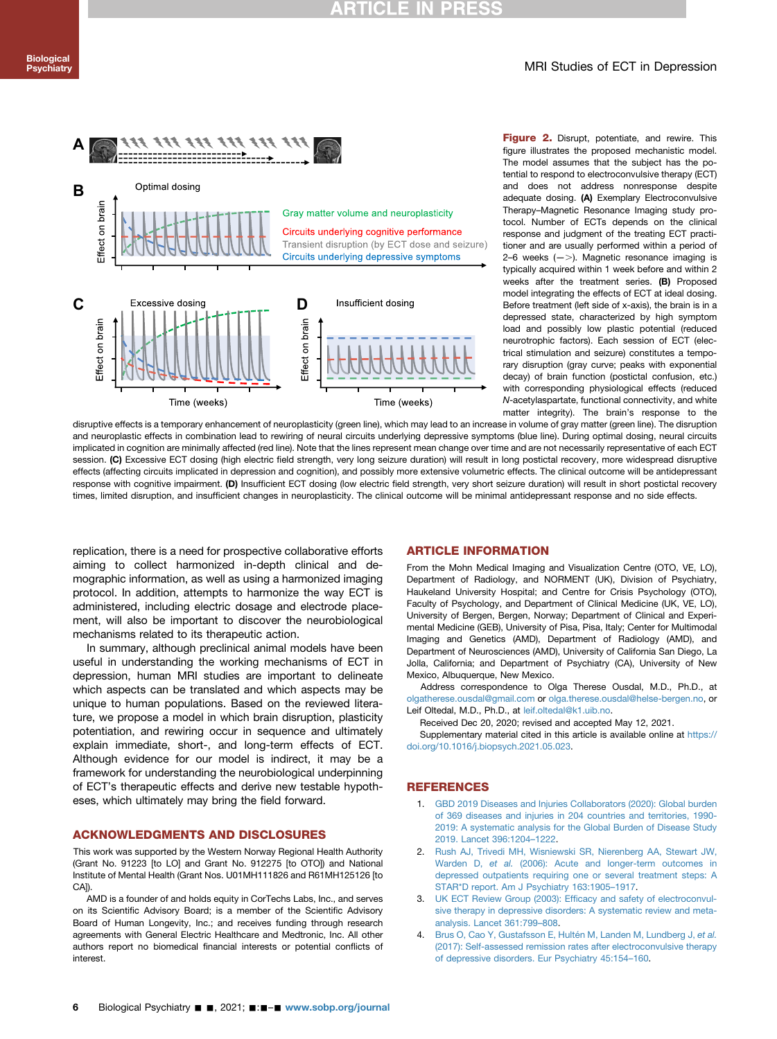#### MRI Studies of ECT in Depression

<span id="page-5-4"></span>

Figure 2. Disrupt, potentiate, and rewire. This figure illustrates the proposed mechanistic model. The model assumes that the subject has the potential to respond to electroconvulsive therapy (ECT) and does not address nonresponse despite adequate dosing. (A) Exemplary Electroconvulsive Therapy–Magnetic Resonance Imaging study protocol. Number of ECTs depends on the clinical response and judgment of the treating ECT practitioner and are usually performed within a period of 2–6 weeks  $(-)$ . Magnetic resonance imaging is typically acquired within 1 week before and within 2 weeks after the treatment series. (B) Proposed model integrating the effects of ECT at ideal dosing. Before treatment (left side of x-axis), the brain is in a depressed state, characterized by high symptom load and possibly low plastic potential (reduced neurotrophic factors). Each session of ECT (electrical stimulation and seizure) constitutes a temporary disruption (gray curve; peaks with exponential decay) of brain function (postictal confusion, etc.) with corresponding physiological effects (reduced N-acetylaspartate, functional connectivity, and white matter integrity). The brain's response to the

disruptive effects is a temporary enhancement of neuroplasticity (green line), which may lead to an increase in volume of gray matter (green line). The disruption and neuroplastic effects in combination lead to rewiring of neural circuits underlying depressive symptoms (blue line). During optimal dosing, neural circuits implicated in cognition are minimally affected (red line). Note that the lines represent mean change over time and are not necessarily representative of each ECT session. (C) Excessive ECT dosing (high electric field strength, very long seizure duration) will result in long postictal recovery, more widespread disruptive effects (affecting circuits implicated in depression and cognition), and possibly more extensive volumetric effects. The clinical outcome will be antidepressant response with cognitive impairment. (D) Insufficient ECT dosing (low electric field strength, very short seizure duration) will result in short postictal recovery times, limited disruption, and insufficient changes in neuroplasticity. The clinical outcome will be minimal antidepressant response and no side effects.

replication, there is a need for prospective collaborative efforts aiming to collect harmonized in-depth clinical and demographic information, as well as using a harmonized imaging protocol. In addition, attempts to harmonize the way ECT is administered, including electric dosage and electrode placement, will also be important to discover the neurobiological mechanisms related to its therapeutic action.

In summary, although preclinical animal models have been useful in understanding the working mechanisms of ECT in depression, human MRI studies are important to delineate which aspects can be translated and which aspects may be unique to human populations. Based on the reviewed literature, we propose a model in which brain disruption, plasticity potentiation, and rewiring occur in sequence and ultimately explain immediate, short-, and long-term effects of ECT. Although evidence for our model is indirect, it may be a framework for understanding the neurobiological underpinning of ECT's therapeutic effects and derive new testable hypotheses, which ultimately may bring the field forward.

#### ACKNOWLEDGMENTS AND DISCLOSURES

This work was supported by the Western Norway Regional Health Authority (Grant No. 91223 [to LO] and Grant No. 912275 [to OTO]) and National Institute of Mental Health (Grant Nos. U01MH111826 and R61MH125126 [to CA<sub>l</sub>

AMD is a founder of and holds equity in CorTechs Labs, Inc., and serves on its Scientific Advisory Board; is a member of the Scientific Advisory Board of Human Longevity, Inc.; and receives funding through research agreements with General Electric Healthcare and Medtronic, Inc. All other authors report no biomedical financial interests or potential conflicts of interest.

#### ARTICLE INFORMATION

From the Mohn Medical Imaging and Visualization Centre (OTO, VE, LO), Department of Radiology, and NORMENT (UK), Division of Psychiatry, Haukeland University Hospital; and Centre for Crisis Psychology (OTO), Faculty of Psychology, and Department of Clinical Medicine (UK, VE, LO), University of Bergen, Bergen, Norway; Department of Clinical and Experimental Medicine (GEB), University of Pisa, Pisa, Italy; Center for Multimodal Imaging and Genetics (AMD), Department of Radiology (AMD), and Department of Neurosciences (AMD), University of California San Diego, La Jolla, California; and Department of Psychiatry (CA), University of New Mexico, Albuquerque, New Mexico.

Address correspondence to Olga Therese Ousdal, M.D., Ph.D., at [olgatherese.ousdal@gmail.com](mailto:olgatherese.ousdal@gmail.com) or [olga.therese.ousdal@helse-bergen.no,](mailto:olga.therese.ousdal@helse-bergen.no) or Leif Oltedal, M.D., Ph.D., at [leif.oltedal@k1.uib.no.](mailto:leif.oltedal@k1.uib.no)

Received Dec 20, 2020; revised and accepted May 12, 2021.

Supplementary material cited in this article is available online at [https://](https://doi.org/10.1016/j.biopsych.2021.05.023) [doi.org/10.1016/j.biopsych.2021.05.023.](https://doi.org/10.1016/j.biopsych.2021.05.023)

#### **REFERENCES**

- <span id="page-5-0"></span>1. [GBD 2019 Diseases and Injuries Collaborators \(2020\): Global burden](http://refhub.elsevier.com/S0006-3223(21)01340-8/sref1) [of 369 diseases and injuries in 204 countries and territories, 1990-](http://refhub.elsevier.com/S0006-3223(21)01340-8/sref1) [2019: A systematic analysis for the Global Burden of Disease Study](http://refhub.elsevier.com/S0006-3223(21)01340-8/sref1) [2019. Lancet 396:1204](http://refhub.elsevier.com/S0006-3223(21)01340-8/sref1)–1222.
- <span id="page-5-1"></span>2. [Rush AJ, Trivedi MH, Wisniewski SR, Nierenberg AA, Stewart JW,](http://refhub.elsevier.com/S0006-3223(21)01340-8/sref2) Warden D, et al. [\(2006\): Acute and longer-term outcomes in](http://refhub.elsevier.com/S0006-3223(21)01340-8/sref2) [depressed outpatients requiring one or several treatment steps: A](http://refhub.elsevier.com/S0006-3223(21)01340-8/sref2) [STAR\\*D report. Am J Psychiatry 163:1905](http://refhub.elsevier.com/S0006-3223(21)01340-8/sref2)–1917.
- <span id="page-5-2"></span>3. UK ECT Review Group (2003): Effi[cacy and safety of electroconvul](http://refhub.elsevier.com/S0006-3223(21)01340-8/sref3)[sive therapy in depressive disorders: A systematic review and meta](http://refhub.elsevier.com/S0006-3223(21)01340-8/sref3)[analysis. Lancet 361:799](http://refhub.elsevier.com/S0006-3223(21)01340-8/sref3)–808.
- <span id="page-5-3"></span>4. [Brus O, Cao Y, Gustafsson E, Hultén M, Landen M, Lundberg J,](http://refhub.elsevier.com/S0006-3223(21)01340-8/sref4) et al. [\(2017\): Self-assessed remission rates after electroconvulsive therapy](http://refhub.elsevier.com/S0006-3223(21)01340-8/sref4) [of depressive disorders. Eur Psychiatry 45:154](http://refhub.elsevier.com/S0006-3223(21)01340-8/sref4)–160.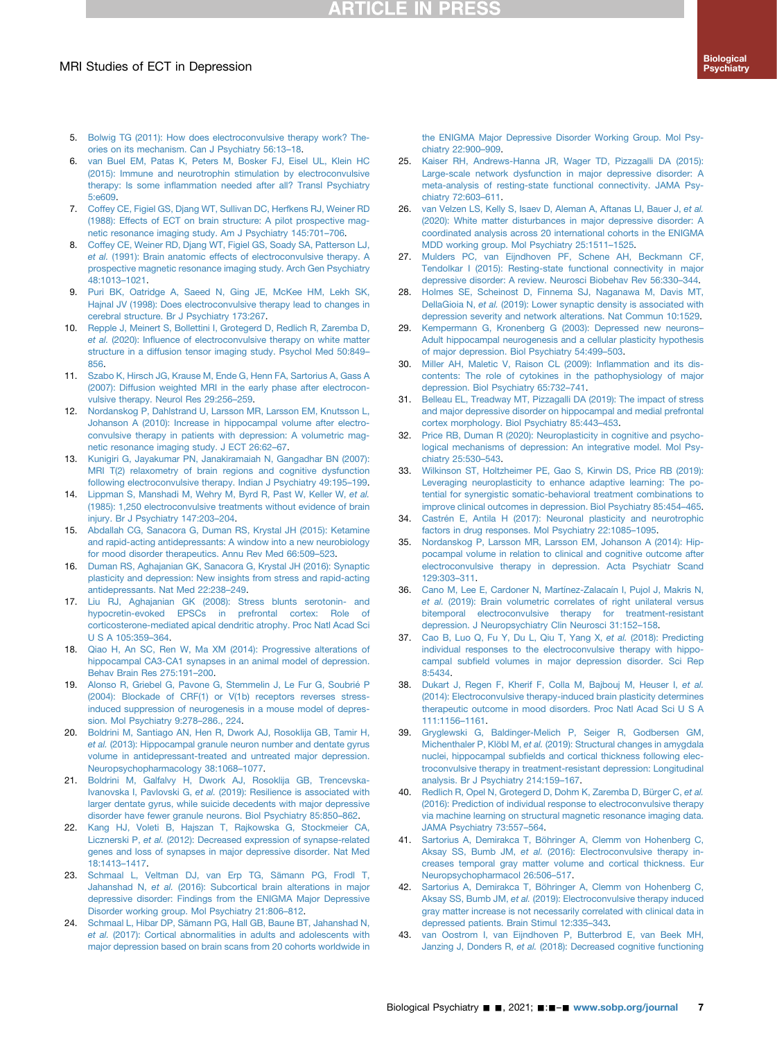## **RTICLE IN PRESS**

#### MRI Studies of ECT in Depression

- <span id="page-6-1"></span><span id="page-6-0"></span>6. [van Buel EM, Patas K, Peters M, Bosker FJ, Eisel UL, Klein HC](http://refhub.elsevier.com/S0006-3223(21)01340-8/sref6) [\(2015\): Immune and neurotrophin stimulation by electroconvulsive](http://refhub.elsevier.com/S0006-3223(21)01340-8/sref6) therapy: Is some infl[ammation needed after all? Transl Psychiatry](http://refhub.elsevier.com/S0006-3223(21)01340-8/sref6) [5:e609](http://refhub.elsevier.com/S0006-3223(21)01340-8/sref6).
- <span id="page-6-2"></span>7. [Coffey CE, Figiel GS, Djang WT, Sullivan DC, Herfkens RJ, Weiner RD](http://refhub.elsevier.com/S0006-3223(21)01340-8/sref7) [\(1988\): Effects of ECT on brain structure: A pilot prospective mag](http://refhub.elsevier.com/S0006-3223(21)01340-8/sref7)[netic resonance imaging study. Am J Psychiatry 145:701](http://refhub.elsevier.com/S0006-3223(21)01340-8/sref7)–706.
- <span id="page-6-26"></span>8. [Coffey CE, Weiner RD, Djang WT, Figiel GS, Soady SA, Patterson LJ,](http://refhub.elsevier.com/S0006-3223(21)01340-8/sref8) et al. [\(1991\): Brain anatomic effects of electroconvulsive therapy. A](http://refhub.elsevier.com/S0006-3223(21)01340-8/sref8) [prospective magnetic resonance imaging study. Arch Gen Psychiatry](http://refhub.elsevier.com/S0006-3223(21)01340-8/sref8) [48:1013](http://refhub.elsevier.com/S0006-3223(21)01340-8/sref8)–1021.
- <span id="page-6-27"></span>9. [Puri BK, Oatridge A, Saeed N, Ging JE, McKee HM, Lekh SK,](http://refhub.elsevier.com/S0006-3223(21)01340-8/sref9) [Hajnal JV \(1998\): Does electroconvulsive therapy lead to changes in](http://refhub.elsevier.com/S0006-3223(21)01340-8/sref9) [cerebral structure. Br J Psychiatry 173:267.](http://refhub.elsevier.com/S0006-3223(21)01340-8/sref9)
- <span id="page-6-3"></span>10. [Repple J, Meinert S, Bollettini I, Grotegerd D, Redlich R, Zaremba D,](http://refhub.elsevier.com/S0006-3223(21)01340-8/sref10) et al. (2020): Infl[uence of electroconvulsive therapy on white matter](http://refhub.elsevier.com/S0006-3223(21)01340-8/sref10) [structure in a diffusion tensor imaging study. Psychol Med 50:849](http://refhub.elsevier.com/S0006-3223(21)01340-8/sref10)– [856.](http://refhub.elsevier.com/S0006-3223(21)01340-8/sref10)
- <span id="page-6-4"></span>11. [Szabo K, Hirsch JG, Krause M, Ende G, Henn FA, Sartorius A, Gass A](http://refhub.elsevier.com/S0006-3223(21)01340-8/sref11) [\(2007\): Diffusion weighted MRI in the early phase after electrocon](http://refhub.elsevier.com/S0006-3223(21)01340-8/sref11)[vulsive therapy. Neurol Res 29:256](http://refhub.elsevier.com/S0006-3223(21)01340-8/sref11)–259.
- <span id="page-6-24"></span>12. [Nordanskog P, Dahlstrand U, Larsson MR, Larsson EM, Knutsson L,](http://refhub.elsevier.com/S0006-3223(21)01340-8/sref12) [Johanson A \(2010\): Increase in hippocampal volume after electro](http://refhub.elsevier.com/S0006-3223(21)01340-8/sref12)[convulsive therapy in patients with depression: A volumetric mag](http://refhub.elsevier.com/S0006-3223(21)01340-8/sref12)[netic resonance imaging study. J ECT 26:62](http://refhub.elsevier.com/S0006-3223(21)01340-8/sref12)–67.
- 13. [Kunigiri G, Jayakumar PN, Janakiramaiah N, Gangadhar BN \(2007\):](http://refhub.elsevier.com/S0006-3223(21)01340-8/sref13) [MRI T\(2\) relaxometry of brain regions and cognitive dysfunction](http://refhub.elsevier.com/S0006-3223(21)01340-8/sref13) [following electroconvulsive therapy. Indian J Psychiatry 49:195](http://refhub.elsevier.com/S0006-3223(21)01340-8/sref13)–199.
- <span id="page-6-5"></span>14. [Lippman S, Manshadi M, Wehry M, Byrd R, Past W, Keller W,](http://refhub.elsevier.com/S0006-3223(21)01340-8/sref14) et al. [\(1985\): 1,250 electroconvulsive treatments without evidence of brain](http://refhub.elsevier.com/S0006-3223(21)01340-8/sref14) [injury. Br J Psychiatry 147:203](http://refhub.elsevier.com/S0006-3223(21)01340-8/sref14)–204.
- <span id="page-6-6"></span>15. [Abdallah CG, Sanacora G, Duman RS, Krystal JH \(2015\): Ketamine](http://refhub.elsevier.com/S0006-3223(21)01340-8/sref15) [and rapid-acting antidepressants: A window into a new neurobiology](http://refhub.elsevier.com/S0006-3223(21)01340-8/sref15) [for mood disorder therapeutics. Annu Rev Med 66:509](http://refhub.elsevier.com/S0006-3223(21)01340-8/sref15)–523.
- <span id="page-6-7"></span>16. [Duman RS, Aghajanian GK, Sanacora G, Krystal JH \(2016\): Synaptic](http://refhub.elsevier.com/S0006-3223(21)01340-8/sref16) [plasticity and depression: New insights from stress and rapid-acting](http://refhub.elsevier.com/S0006-3223(21)01340-8/sref16) [antidepressants. Nat Med 22:238](http://refhub.elsevier.com/S0006-3223(21)01340-8/sref16)–249.
- <span id="page-6-8"></span>17. [Liu RJ, Aghajanian GK \(2008\): Stress blunts serotonin- and](http://refhub.elsevier.com/S0006-3223(21)01340-8/sref17) [hypocretin-evoked EPSCs in prefrontal cortex: Role of](http://refhub.elsevier.com/S0006-3223(21)01340-8/sref17) [corticosterone-mediated apical dendritic atrophy. Proc Natl Acad Sci](http://refhub.elsevier.com/S0006-3223(21)01340-8/sref17) [U S A 105:359](http://refhub.elsevier.com/S0006-3223(21)01340-8/sref17)–364.
- <span id="page-6-9"></span>18. [Qiao H, An SC, Ren W, Ma XM \(2014\): Progressive alterations of](http://refhub.elsevier.com/S0006-3223(21)01340-8/sref18) [hippocampal CA3-CA1 synapses in an animal model of depression.](http://refhub.elsevier.com/S0006-3223(21)01340-8/sref18) [Behav Brain Res 275:191](http://refhub.elsevier.com/S0006-3223(21)01340-8/sref18)–200.
- <span id="page-6-10"></span>19. [Alonso R, Griebel G, Pavone G, Stemmelin J, Le Fur G, Soubrié P](http://refhub.elsevier.com/S0006-3223(21)01340-8/sref19) [\(2004\): Blockade of CRF\(1\) or V\(1b\) receptors reverses stress](http://refhub.elsevier.com/S0006-3223(21)01340-8/sref19)[induced suppression of neurogenesis in a mouse model of depres](http://refhub.elsevier.com/S0006-3223(21)01340-8/sref19)[sion. Mol Psychiatry 9:278](http://refhub.elsevier.com/S0006-3223(21)01340-8/sref19)–286., 224.
- <span id="page-6-11"></span>20. [Boldrini M, Santiago AN, Hen R, Dwork AJ, Rosoklija GB, Tamir H,](http://refhub.elsevier.com/S0006-3223(21)01340-8/sref20) et al. [\(2013\): Hippocampal granule neuron number and dentate gyrus](http://refhub.elsevier.com/S0006-3223(21)01340-8/sref20) [volume in antidepressant-treated and untreated major depression.](http://refhub.elsevier.com/S0006-3223(21)01340-8/sref20) [Neuropsychopharmacology 38:1068](http://refhub.elsevier.com/S0006-3223(21)01340-8/sref20)–1077.
- <span id="page-6-12"></span>21. [Boldrini M, Galfalvy H, Dwork AJ, Rosoklija GB, Trencevska-](http://refhub.elsevier.com/S0006-3223(21)01340-8/sref21)Ivanovska I, Pavlovski G, et al. [\(2019\): Resilience is associated with](http://refhub.elsevier.com/S0006-3223(21)01340-8/sref21) [larger dentate gyrus, while suicide decedents with major depressive](http://refhub.elsevier.com/S0006-3223(21)01340-8/sref21) [disorder have fewer granule neurons. Biol Psychiatry 85:850](http://refhub.elsevier.com/S0006-3223(21)01340-8/sref21)–862.
- <span id="page-6-13"></span>22. [Kang HJ, Voleti B, Hajszan T, Rajkowska G, Stockmeier CA,](http://refhub.elsevier.com/S0006-3223(21)01340-8/sref22) Licznerski P, et al. [\(2012\): Decreased expression of synapse-related](http://refhub.elsevier.com/S0006-3223(21)01340-8/sref22) [genes and loss of synapses in major depressive disorder. Nat Med](http://refhub.elsevier.com/S0006-3223(21)01340-8/sref22) [18:1413](http://refhub.elsevier.com/S0006-3223(21)01340-8/sref22)–1417.
- <span id="page-6-14"></span>23. [Schmaal L, Veltman DJ, van Erp TG, Sämann PG, Frodl T,](http://refhub.elsevier.com/S0006-3223(21)01340-8/sref23) Jahanshad N, et al. [\(2016\): Subcortical brain alterations in major](http://refhub.elsevier.com/S0006-3223(21)01340-8/sref23) [depressive disorder: Findings from the ENIGMA Major Depressive](http://refhub.elsevier.com/S0006-3223(21)01340-8/sref23) [Disorder working group. Mol Psychiatry 21:806](http://refhub.elsevier.com/S0006-3223(21)01340-8/sref23)–812.
- <span id="page-6-15"></span>24. [Schmaal L, Hibar DP, Sämann PG, Hall GB, Baune BT, Jahanshad N,](http://refhub.elsevier.com/S0006-3223(21)01340-8/sref24) et al. [\(2017\): Cortical abnormalities in adults and adolescents with](http://refhub.elsevier.com/S0006-3223(21)01340-8/sref24) [major depression based on brain scans from 20 cohorts worldwide in](http://refhub.elsevier.com/S0006-3223(21)01340-8/sref24)

[the ENIGMA Major Depressive Disorder Working Group. Mol Psy](http://refhub.elsevier.com/S0006-3223(21)01340-8/sref24)[chiatry 22:900](http://refhub.elsevier.com/S0006-3223(21)01340-8/sref24)–909.

- <span id="page-6-16"></span>25. [Kaiser RH, Andrews-Hanna JR, Wager TD, Pizzagalli DA \(2015\):](http://refhub.elsevier.com/S0006-3223(21)01340-8/sref25) [Large-scale network dysfunction in major depressive disorder: A](http://refhub.elsevier.com/S0006-3223(21)01340-8/sref25) [meta-analysis of resting-state functional connectivity. JAMA Psy](http://refhub.elsevier.com/S0006-3223(21)01340-8/sref25)[chiatry 72:603](http://refhub.elsevier.com/S0006-3223(21)01340-8/sref25)–611.
- 26. van Velzen LS, Kelly S, Isaev D, Aleman A, Aftanas LI, Bauer J. et al. [\(2020\): White matter disturbances in major depressive disorder: A](http://refhub.elsevier.com/S0006-3223(21)01340-8/sref26) [coordinated analysis across 20 international cohorts in the ENIGMA](http://refhub.elsevier.com/S0006-3223(21)01340-8/sref26) [MDD working group. Mol Psychiatry 25:1511](http://refhub.elsevier.com/S0006-3223(21)01340-8/sref26)–1525.
- 27. [Mulders PC, van Eijndhoven PF, Schene AH, Beckmann CF,](http://refhub.elsevier.com/S0006-3223(21)01340-8/sref27) [Tendolkar I \(2015\): Resting-state functional connectivity in major](http://refhub.elsevier.com/S0006-3223(21)01340-8/sref27) [depressive disorder: A review. Neurosci Biobehav Rev 56:330](http://refhub.elsevier.com/S0006-3223(21)01340-8/sref27)–344.
- <span id="page-6-17"></span>28. [Holmes SE, Scheinost D, Finnema SJ, Naganawa M, Davis MT,](http://refhub.elsevier.com/S0006-3223(21)01340-8/sref28) DellaGioia N, et al. [\(2019\): Lower synaptic density is associated with](http://refhub.elsevier.com/S0006-3223(21)01340-8/sref28) [depression severity and network alterations. Nat Commun 10:1529.](http://refhub.elsevier.com/S0006-3223(21)01340-8/sref28)
- <span id="page-6-18"></span>29. [Kempermann G, Kronenberg G \(2003\): Depressed new neurons](http://refhub.elsevier.com/S0006-3223(21)01340-8/sref29)– [Adult hippocampal neurogenesis and a cellular plasticity hypothesis](http://refhub.elsevier.com/S0006-3223(21)01340-8/sref29) [of major depression. Biol Psychiatry 54:499](http://refhub.elsevier.com/S0006-3223(21)01340-8/sref29)–503.
- <span id="page-6-19"></span>30. [Miller AH, Maletic V, Raison CL \(2009\): In](http://refhub.elsevier.com/S0006-3223(21)01340-8/sref30)flammation and its dis[contents: The role of cytokines in the pathophysiology of major](http://refhub.elsevier.com/S0006-3223(21)01340-8/sref30) [depression. Biol Psychiatry 65:732](http://refhub.elsevier.com/S0006-3223(21)01340-8/sref30)–741.
- <span id="page-6-20"></span>31. [Belleau EL, Treadway MT, Pizzagalli DA \(2019\): The impact of stress](http://refhub.elsevier.com/S0006-3223(21)01340-8/sref31) [and major depressive disorder on hippocampal and medial prefrontal](http://refhub.elsevier.com/S0006-3223(21)01340-8/sref31) [cortex morphology. Biol Psychiatry 85:443](http://refhub.elsevier.com/S0006-3223(21)01340-8/sref31)–453.
- <span id="page-6-21"></span>32. [Price RB, Duman R \(2020\): Neuroplasticity in cognitive and psycho](http://refhub.elsevier.com/S0006-3223(21)01340-8/sref32)[logical mechanisms of depression: An integrative model. Mol Psy](http://refhub.elsevier.com/S0006-3223(21)01340-8/sref32)[chiatry 25:530](http://refhub.elsevier.com/S0006-3223(21)01340-8/sref32)–543.
- <span id="page-6-22"></span>33. [Wilkinson ST, Holtzheimer PE, Gao S, Kirwin DS, Price RB \(2019\):](http://refhub.elsevier.com/S0006-3223(21)01340-8/sref33) [Leveraging neuroplasticity to enhance adaptive learning: The po](http://refhub.elsevier.com/S0006-3223(21)01340-8/sref33)[tential for synergistic somatic-behavioral treatment combinations to](http://refhub.elsevier.com/S0006-3223(21)01340-8/sref33) [improve clinical outcomes in depression. Biol Psychiatry 85:454](http://refhub.elsevier.com/S0006-3223(21)01340-8/sref33)–465.
- <span id="page-6-23"></span>34. [Castrén E, Antila H \(2017\): Neuronal plasticity and neurotrophic](http://refhub.elsevier.com/S0006-3223(21)01340-8/sref34) [factors in drug responses. Mol Psychiatry 22:1085](http://refhub.elsevier.com/S0006-3223(21)01340-8/sref34)–1095.
- <span id="page-6-25"></span>35. [Nordanskog P, Larsson MR, Larsson EM, Johanson A \(2014\): Hip](http://refhub.elsevier.com/S0006-3223(21)01340-8/sref35)[pocampal volume in relation to clinical and cognitive outcome after](http://refhub.elsevier.com/S0006-3223(21)01340-8/sref35) [electroconvulsive therapy in depression. Acta Psychiatr Scand](http://refhub.elsevier.com/S0006-3223(21)01340-8/sref35) [129:303](http://refhub.elsevier.com/S0006-3223(21)01340-8/sref35)–311.
- <span id="page-6-30"></span>36. [Cano M, Lee E, Cardoner N, Martínez-Zalacaín I, Pujol J, Makris N,](http://refhub.elsevier.com/S0006-3223(21)01340-8/sref36) et al. [\(2019\): Brain volumetric correlates of right unilateral versus](http://refhub.elsevier.com/S0006-3223(21)01340-8/sref36) [bitemporal electroconvulsive therapy for treatment-resistant](http://refhub.elsevier.com/S0006-3223(21)01340-8/sref36) [depression. J Neuropsychiatry Clin Neurosci 31:152](http://refhub.elsevier.com/S0006-3223(21)01340-8/sref36)–158.
- <span id="page-6-28"></span>37. [Cao B, Luo Q, Fu Y, Du L, Qiu T, Yang X,](http://refhub.elsevier.com/S0006-3223(21)01340-8/sref37) et al. (2018): Predicting [individual responses to the electroconvulsive therapy with hippo](http://refhub.elsevier.com/S0006-3223(21)01340-8/sref37)campal subfi[eld volumes in major depression disorder. Sci Rep](http://refhub.elsevier.com/S0006-3223(21)01340-8/sref37) [8:5434.](http://refhub.elsevier.com/S0006-3223(21)01340-8/sref37)
- <span id="page-6-32"></span>38. [Dukart J, Regen F, Kherif F, Colla M, Bajbouj M, Heuser I,](http://refhub.elsevier.com/S0006-3223(21)01340-8/sref38) et al. [\(2014\): Electroconvulsive therapy-induced brain plasticity determines](http://refhub.elsevier.com/S0006-3223(21)01340-8/sref38) [therapeutic outcome in mood disorders. Proc Natl Acad Sci U S A](http://refhub.elsevier.com/S0006-3223(21)01340-8/sref38) [111:1156](http://refhub.elsevier.com/S0006-3223(21)01340-8/sref38)–1161.
- <span id="page-6-29"></span>39. [Gryglewski G, Baldinger-Melich P, Seiger R, Godbersen GM,](http://refhub.elsevier.com/S0006-3223(21)01340-8/sref39) Michenthaler P, Klöbl M, et al. [\(2019\): Structural changes in amygdala](http://refhub.elsevier.com/S0006-3223(21)01340-8/sref39) nuclei, hippocampal subfi[elds and cortical thickness following elec](http://refhub.elsevier.com/S0006-3223(21)01340-8/sref39)[troconvulsive therapy in treatment-resistant depression: Longitudinal](http://refhub.elsevier.com/S0006-3223(21)01340-8/sref39) [analysis. Br J Psychiatry 214:159](http://refhub.elsevier.com/S0006-3223(21)01340-8/sref39)–167.
- <span id="page-6-34"></span>40. [Redlich R, Opel N, Grotegerd D, Dohm K, Zaremba D, Bürger C,](http://refhub.elsevier.com/S0006-3223(21)01340-8/sref40) et al. [\(2016\): Prediction of individual response to electroconvulsive therapy](http://refhub.elsevier.com/S0006-3223(21)01340-8/sref40) [via machine learning on structural magnetic resonance imaging data.](http://refhub.elsevier.com/S0006-3223(21)01340-8/sref40) [JAMA Psychiatry 73:557](http://refhub.elsevier.com/S0006-3223(21)01340-8/sref40)–564.
- <span id="page-6-31"></span>41. [Sartorius A, Demirakca T, Böhringer A, Clemm von Hohenberg C,](http://refhub.elsevier.com/S0006-3223(21)01340-8/sref41) Aksay SS, Bumb JM, et al. [\(2016\): Electroconvulsive therapy in](http://refhub.elsevier.com/S0006-3223(21)01340-8/sref41)[creases temporal gray matter volume and cortical thickness. Eur](http://refhub.elsevier.com/S0006-3223(21)01340-8/sref41) [Neuropsychopharmacol 26:506](http://refhub.elsevier.com/S0006-3223(21)01340-8/sref41)–517.
- <span id="page-6-33"></span>42. [Sartorius A, Demirakca T, Böhringer A, Clemm von Hohenberg C,](http://refhub.elsevier.com/S0006-3223(21)01340-8/sref42) Aksay SS, Bumb JM, et al. [\(2019\): Electroconvulsive therapy induced](http://refhub.elsevier.com/S0006-3223(21)01340-8/sref42) [gray matter increase is not necessarily correlated with clinical data in](http://refhub.elsevier.com/S0006-3223(21)01340-8/sref42) [depressed patients. Brain Stimul 12:335](http://refhub.elsevier.com/S0006-3223(21)01340-8/sref42)–343.
- 43. [van Oostrom I, van Eijndhoven P, Butterbrod E, van Beek MH,](http://refhub.elsevier.com/S0006-3223(21)01340-8/sref43) Janzing J, Donders R, et al. [\(2018\): Decreased cognitive functioning](http://refhub.elsevier.com/S0006-3223(21)01340-8/sref43)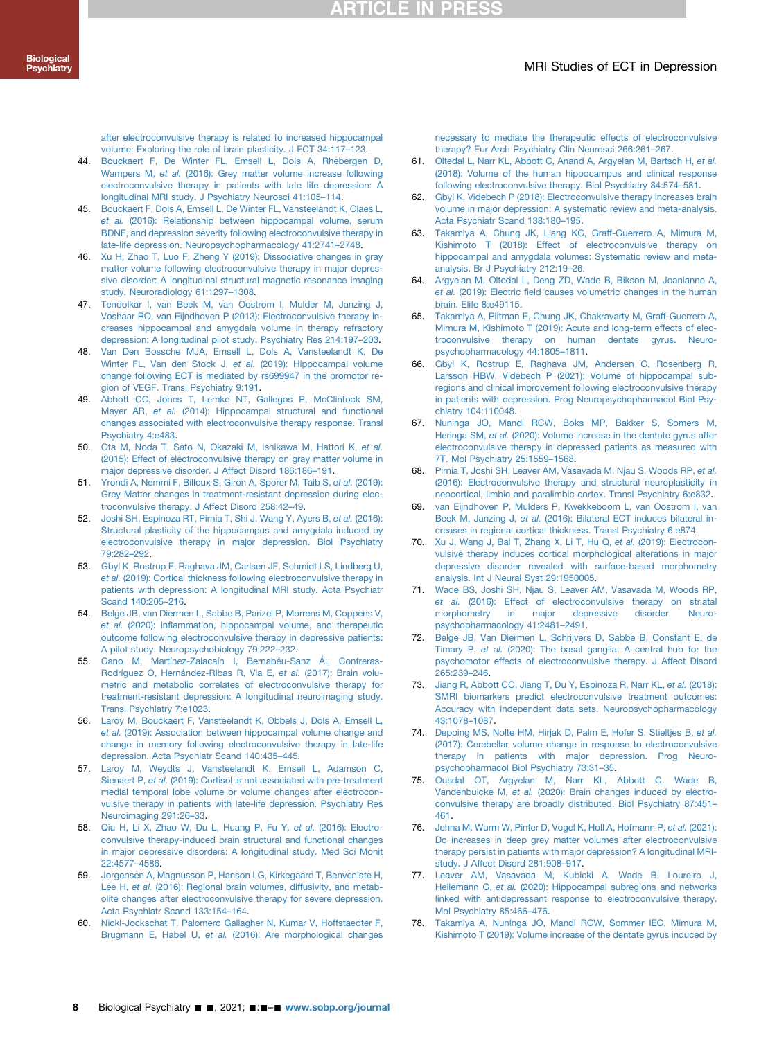## **RTICLE IN PRES:**

#### MRI Studies of ECT in Depression

[after electroconvulsive therapy is related to increased hippocampal](http://refhub.elsevier.com/S0006-3223(21)01340-8/sref43) [volume: Exploring the role of brain plasticity. J ECT 34:117](http://refhub.elsevier.com/S0006-3223(21)01340-8/sref43)–123.

- <span id="page-7-7"></span>44. [Bouckaert F, De Winter FL, Emsell L, Dols A, Rhebergen D,](http://refhub.elsevier.com/S0006-3223(21)01340-8/sref44) Wampers M, et al. [\(2016\): Grey matter volume increase following](http://refhub.elsevier.com/S0006-3223(21)01340-8/sref44) [electroconvulsive therapy in patients with late life depression: A](http://refhub.elsevier.com/S0006-3223(21)01340-8/sref44) [longitudinal MRI study. J Psychiatry Neurosci 41:105](http://refhub.elsevier.com/S0006-3223(21)01340-8/sref44)–114.
- <span id="page-7-14"></span>45. [Bouckaert F, Dols A, Emsell L, De Winter FL, Vansteelandt K, Claes L,](http://refhub.elsevier.com/S0006-3223(21)01340-8/sref45) et al. [\(2016\): Relationship between hippocampal volume, serum](http://refhub.elsevier.com/S0006-3223(21)01340-8/sref45) [BDNF, and depression severity following electroconvulsive therapy in](http://refhub.elsevier.com/S0006-3223(21)01340-8/sref45) [late-life depression. Neuropsychopharmacology 41:2741](http://refhub.elsevier.com/S0006-3223(21)01340-8/sref45)–2748.
- <span id="page-7-15"></span>[Xu H, Zhao T, Luo F, Zheng Y \(2019\): Dissociative changes in gray](http://refhub.elsevier.com/S0006-3223(21)01340-8/sref46) [matter volume following electroconvulsive therapy in major depres](http://refhub.elsevier.com/S0006-3223(21)01340-8/sref46)[sive disorder: A longitudinal structural magnetic resonance imaging](http://refhub.elsevier.com/S0006-3223(21)01340-8/sref46) [study. Neuroradiology 61:1297](http://refhub.elsevier.com/S0006-3223(21)01340-8/sref46)–1308.
- <span id="page-7-24"></span>47. [Tendolkar I, van Beek M, van Oostrom I, Mulder M, Janzing J,](http://refhub.elsevier.com/S0006-3223(21)01340-8/sref47) [Voshaar RO, van Eijndhoven P \(2013\): Electroconvulsive therapy in](http://refhub.elsevier.com/S0006-3223(21)01340-8/sref47)[creases hippocampal and amygdala volume in therapy refractory](http://refhub.elsevier.com/S0006-3223(21)01340-8/sref47) [depression: A longitudinal pilot study. Psychiatry Res 214:197](http://refhub.elsevier.com/S0006-3223(21)01340-8/sref47)–203.
- <span id="page-7-25"></span>48. [Van Den Bossche MJA, Emsell L, Dols A, Vansteelandt K, De](http://refhub.elsevier.com/S0006-3223(21)01340-8/sref48) [Winter FL, Van den Stock J,](http://refhub.elsevier.com/S0006-3223(21)01340-8/sref48) et al. (2019): Hippocampal volume [change following ECT is mediated by rs699947 in the promotor re](http://refhub.elsevier.com/S0006-3223(21)01340-8/sref48)[gion of VEGF. Transl Psychiatry 9:191](http://refhub.elsevier.com/S0006-3223(21)01340-8/sref48).
- <span id="page-7-5"></span>49. [Abbott CC, Jones T, Lemke NT, Gallegos P, McClintock SM,](http://refhub.elsevier.com/S0006-3223(21)01340-8/sref49) Mayer AR, et al. [\(2014\): Hippocampal structural and functional](http://refhub.elsevier.com/S0006-3223(21)01340-8/sref49) [changes associated with electroconvulsive therapy response. Transl](http://refhub.elsevier.com/S0006-3223(21)01340-8/sref49) [Psychiatry 4:e483.](http://refhub.elsevier.com/S0006-3223(21)01340-8/sref49)
- <span id="page-7-8"></span>50. [Ota M, Noda T, Sato N, Okazaki M, Ishikawa M, Hattori K,](http://refhub.elsevier.com/S0006-3223(21)01340-8/sref50) et al. [\(2015\): Effect of electroconvulsive therapy on gray matter volume in](http://refhub.elsevier.com/S0006-3223(21)01340-8/sref50) [major depressive disorder. J Affect Disord 186:186](http://refhub.elsevier.com/S0006-3223(21)01340-8/sref50)–191.
- <span id="page-7-26"></span>51. [Yrondi A, Nemmi F, Billoux S, Giron A, Sporer M, Taib S,](http://refhub.elsevier.com/S0006-3223(21)01340-8/sref51) et al. (2019): [Grey Matter changes in treatment-resistant depression during elec](http://refhub.elsevier.com/S0006-3223(21)01340-8/sref51)[troconvulsive therapy. J Affect Disord 258:42](http://refhub.elsevier.com/S0006-3223(21)01340-8/sref51)–49.
- <span id="page-7-21"></span>52. [Joshi SH, Espinoza RT, Pirnia T, Shi J, Wang Y, Ayers B,](http://refhub.elsevier.com/S0006-3223(21)01340-8/sref52) et al. (2016): [Structural plasticity of the hippocampus and amygdala induced by](http://refhub.elsevier.com/S0006-3223(21)01340-8/sref52) [electroconvulsive therapy in major depression. Biol Psychiatry](http://refhub.elsevier.com/S0006-3223(21)01340-8/sref52) [79:282](http://refhub.elsevier.com/S0006-3223(21)01340-8/sref52)–292.
- <span id="page-7-9"></span>53. [Gbyl K, Rostrup E, Raghava JM, Carlsen JF, Schmidt LS, Lindberg U,](http://refhub.elsevier.com/S0006-3223(21)01340-8/sref53) et al. [\(2019\): Cortical thickness following electroconvulsive therapy in](http://refhub.elsevier.com/S0006-3223(21)01340-8/sref53) [patients with depression: A longitudinal MRI study. Acta Psychiatr](http://refhub.elsevier.com/S0006-3223(21)01340-8/sref53) [Scand 140:205](http://refhub.elsevier.com/S0006-3223(21)01340-8/sref53)–216.
- 54. [Belge JB, van Diermen L, Sabbe B, Parizel P, Morrens M, Coppens V,](http://refhub.elsevier.com/S0006-3223(21)01340-8/sref54) et al. (2020): Infl[ammation, hippocampal volume, and therapeutic](http://refhub.elsevier.com/S0006-3223(21)01340-8/sref54) [outcome following electroconvulsive therapy in depressive patients:](http://refhub.elsevier.com/S0006-3223(21)01340-8/sref54) [A pilot study. Neuropsychobiology 79:222](http://refhub.elsevier.com/S0006-3223(21)01340-8/sref54)–232.
- <span id="page-7-13"></span>55. [Cano M, Martínez-Zalacaín I, Bernabéu-Sanz Á., Contreras-](http://refhub.elsevier.com/S0006-3223(21)01340-8/sref55)[Rodríguez O, Hernández-Ribas R, Via E,](http://refhub.elsevier.com/S0006-3223(21)01340-8/sref55) et al. (2017): Brain volu[metric and metabolic correlates of electroconvulsive therapy for](http://refhub.elsevier.com/S0006-3223(21)01340-8/sref55) [treatment-resistant depression: A longitudinal neuroimaging study.](http://refhub.elsevier.com/S0006-3223(21)01340-8/sref55) [Transl Psychiatry 7:e1023.](http://refhub.elsevier.com/S0006-3223(21)01340-8/sref55)
- 56. [Laroy M, Bouckaert F, Vansteelandt K, Obbels J, Dols A, Emsell L,](http://refhub.elsevier.com/S0006-3223(21)01340-8/sref56) et al. [\(2019\): Association between hippocampal volume change and](http://refhub.elsevier.com/S0006-3223(21)01340-8/sref56) [change in memory following electroconvulsive therapy in late-life](http://refhub.elsevier.com/S0006-3223(21)01340-8/sref56) [depression. Acta Psychiatr Scand 140:435](http://refhub.elsevier.com/S0006-3223(21)01340-8/sref56)–445.
- 57. [Laroy M, Weydts J, Vansteelandt K, Emsell L, Adamson C,](http://refhub.elsevier.com/S0006-3223(21)01340-8/sref57) Sienaert P, et al. [\(2019\): Cortisol is not associated with pre-treatment](http://refhub.elsevier.com/S0006-3223(21)01340-8/sref57) [medial temporal lobe volume or volume changes after electrocon](http://refhub.elsevier.com/S0006-3223(21)01340-8/sref57)[vulsive therapy in patients with late-life depression. Psychiatry Res](http://refhub.elsevier.com/S0006-3223(21)01340-8/sref57) [Neuroimaging 291:26](http://refhub.elsevier.com/S0006-3223(21)01340-8/sref57)–33.
- 58. [Qiu H, Li X, Zhao W, Du L, Huang P, Fu Y,](http://refhub.elsevier.com/S0006-3223(21)01340-8/sref58) et al. (2016): Electro[convulsive therapy-induced brain structural and functional changes](http://refhub.elsevier.com/S0006-3223(21)01340-8/sref58) [in major depressive disorders: A longitudinal study. Med Sci Monit](http://refhub.elsevier.com/S0006-3223(21)01340-8/sref58) [22:4577](http://refhub.elsevier.com/S0006-3223(21)01340-8/sref58)–4586.
- <span id="page-7-27"></span>59. [Jorgensen A, Magnusson P, Hanson LG, Kirkegaard T, Benveniste H,](http://refhub.elsevier.com/S0006-3223(21)01340-8/sref59) Lee H, et al. [\(2016\): Regional brain volumes, diffusivity, and metab](http://refhub.elsevier.com/S0006-3223(21)01340-8/sref59)[olite changes after electroconvulsive therapy for severe depression.](http://refhub.elsevier.com/S0006-3223(21)01340-8/sref59) [Acta Psychiatr Scand 133:154](http://refhub.elsevier.com/S0006-3223(21)01340-8/sref59)–164.
- <span id="page-7-0"></span>60. [Nickl-Jockschat T, Palomero Gallagher N, Kumar V, Hoffstaedter F,](http://refhub.elsevier.com/S0006-3223(21)01340-8/sref60) Brügmann E, Habel U, et al. [\(2016\): Are morphological changes](http://refhub.elsevier.com/S0006-3223(21)01340-8/sref60)

[necessary to mediate the therapeutic effects of electroconvulsive](http://refhub.elsevier.com/S0006-3223(21)01340-8/sref60) [therapy? Eur Arch Psychiatry Clin Neurosci 266:261](http://refhub.elsevier.com/S0006-3223(21)01340-8/sref60)–267.

- <span id="page-7-1"></span>61. [Oltedal L, Narr KL, Abbott C, Anand A, Argyelan M, Bartsch H,](http://refhub.elsevier.com/S0006-3223(21)01340-8/sref61) et al. [\(2018\): Volume of the human hippocampus and clinical response](http://refhub.elsevier.com/S0006-3223(21)01340-8/sref61) [following electroconvulsive therapy. Biol Psychiatry 84:574](http://refhub.elsevier.com/S0006-3223(21)01340-8/sref61)–581.
- <span id="page-7-2"></span>62. [Gbyl K, Videbech P \(2018\): Electroconvulsive therapy increases brain](http://refhub.elsevier.com/S0006-3223(21)01340-8/sref62) [volume in major depression: A systematic review and meta-analysis.](http://refhub.elsevier.com/S0006-3223(21)01340-8/sref62) [Acta Psychiatr Scand 138:180](http://refhub.elsevier.com/S0006-3223(21)01340-8/sref62)–195.
- <span id="page-7-3"></span>63. [Takamiya A, Chung JK, Liang KC, Graff-Guerrero A, Mimura M,](http://refhub.elsevier.com/S0006-3223(21)01340-8/sref63) [Kishimoto T \(2018\): Effect of electroconvulsive therapy on](http://refhub.elsevier.com/S0006-3223(21)01340-8/sref63) [hippocampal and amygdala volumes: Systematic review and meta](http://refhub.elsevier.com/S0006-3223(21)01340-8/sref63)[analysis. Br J Psychiatry 212:19](http://refhub.elsevier.com/S0006-3223(21)01340-8/sref63)–26.
- <span id="page-7-4"></span>64. [Argyelan M, Oltedal L, Deng ZD, Wade B, Bikson M, Joanlanne A,](http://refhub.elsevier.com/S0006-3223(21)01340-8/sref64) et al. (2019): Electric fi[eld causes volumetric changes in the human](http://refhub.elsevier.com/S0006-3223(21)01340-8/sref64) [brain. Elife 8:e49115](http://refhub.elsevier.com/S0006-3223(21)01340-8/sref64).
- <span id="page-7-6"></span>65. [Takamiya A, Plitman E, Chung JK, Chakravarty M, Graff-Guerrero A,](http://refhub.elsevier.com/S0006-3223(21)01340-8/sref65) [Mimura M, Kishimoto T \(2019\): Acute and long-term effects of elec](http://refhub.elsevier.com/S0006-3223(21)01340-8/sref65)[troconvulsive therapy on human dentate gyrus. Neuro](http://refhub.elsevier.com/S0006-3223(21)01340-8/sref65)[psychopharmacology 44:1805](http://refhub.elsevier.com/S0006-3223(21)01340-8/sref65)–1811.
- <span id="page-7-22"></span>66. [Gbyl K, Rostrup E, Raghava JM, Andersen C, Rosenberg R,](http://refhub.elsevier.com/S0006-3223(21)01340-8/sref66) [Larsson HBW, Videbech P \(2021\): Volume of hippocampal sub](http://refhub.elsevier.com/S0006-3223(21)01340-8/sref66)[regions and clinical improvement following electroconvulsive therapy](http://refhub.elsevier.com/S0006-3223(21)01340-8/sref66) [in patients with depression. Prog Neuropsychopharmacol Biol Psy](http://refhub.elsevier.com/S0006-3223(21)01340-8/sref66)[chiatry 104:110048](http://refhub.elsevier.com/S0006-3223(21)01340-8/sref66).
- <span id="page-7-29"></span>67. [Nuninga JO, Mandl RCW, Boks MP, Bakker S, Somers M,](http://refhub.elsevier.com/S0006-3223(21)01340-8/sref67) Heringa SM, et al. [\(2020\): Volume increase in the dentate gyrus after](http://refhub.elsevier.com/S0006-3223(21)01340-8/sref67) [electroconvulsive therapy in depressed patients as measured with](http://refhub.elsevier.com/S0006-3223(21)01340-8/sref67) [7T. Mol Psychiatry 25:1559](http://refhub.elsevier.com/S0006-3223(21)01340-8/sref67)–1568.
- <span id="page-7-10"></span>68. [Pirnia T, Joshi SH, Leaver AM, Vasavada M, Njau S, Woods RP,](http://refhub.elsevier.com/S0006-3223(21)01340-8/sref68) et al. [\(2016\): Electroconvulsive therapy and structural neuroplasticity in](http://refhub.elsevier.com/S0006-3223(21)01340-8/sref68) [neocortical, limbic and paralimbic cortex. Transl Psychiatry 6:e832](http://refhub.elsevier.com/S0006-3223(21)01340-8/sref68).
- <span id="page-7-11"></span>69. [van Eijndhoven P, Mulders P, Kwekkeboom L, van Oostrom I, van](http://refhub.elsevier.com/S0006-3223(21)01340-8/sref69) Beek M, Janzing J, et al. [\(2016\): Bilateral ECT induces bilateral in](http://refhub.elsevier.com/S0006-3223(21)01340-8/sref69)[creases in regional cortical thickness. Transl Psychiatry 6:e874.](http://refhub.elsevier.com/S0006-3223(21)01340-8/sref69)
- <span id="page-7-12"></span>70. [Xu J, Wang J, Bai T, Zhang X, Li T, Hu Q,](http://refhub.elsevier.com/S0006-3223(21)01340-8/sref70) et al. (2019): Electrocon[vulsive therapy induces cortical morphological alterations in major](http://refhub.elsevier.com/S0006-3223(21)01340-8/sref70) [depressive disorder revealed with surface-based morphometry](http://refhub.elsevier.com/S0006-3223(21)01340-8/sref70) [analysis. Int J Neural Syst 29:1950005.](http://refhub.elsevier.com/S0006-3223(21)01340-8/sref70)
- <span id="page-7-16"></span>71. [Wade BS, Joshi SH, Njau S, Leaver AM, Vasavada M, Woods RP,](http://refhub.elsevier.com/S0006-3223(21)01340-8/sref71) et al. [\(2016\): Effect of electroconvulsive therapy on striatal](http://refhub.elsevier.com/S0006-3223(21)01340-8/sref71) [morphometry in major depressive disorder. Neuro](http://refhub.elsevier.com/S0006-3223(21)01340-8/sref71)[psychopharmacology 41:2481](http://refhub.elsevier.com/S0006-3223(21)01340-8/sref71)–2491.
- <span id="page-7-17"></span>72. [Belge JB, Van Diermen L, Schrijvers D, Sabbe B, Constant E, de](http://refhub.elsevier.com/S0006-3223(21)01340-8/sref72) Timary P, et al. [\(2020\): The basal ganglia: A central hub for the](http://refhub.elsevier.com/S0006-3223(21)01340-8/sref72) [psychomotor effects of electroconvulsive therapy. J Affect Disord](http://refhub.elsevier.com/S0006-3223(21)01340-8/sref72) [265:239](http://refhub.elsevier.com/S0006-3223(21)01340-8/sref72)–246.
- <span id="page-7-18"></span>73. [Jiang R, Abbott CC, Jiang T, Du Y, Espinoza R, Narr KL,](http://refhub.elsevier.com/S0006-3223(21)01340-8/sref73) et al. (2018): [SMRI biomarkers predict electroconvulsive treatment outcomes:](http://refhub.elsevier.com/S0006-3223(21)01340-8/sref73) [Accuracy with independent data sets. Neuropsychopharmacology](http://refhub.elsevier.com/S0006-3223(21)01340-8/sref73) [43:1078](http://refhub.elsevier.com/S0006-3223(21)01340-8/sref73)–1087.
- <span id="page-7-19"></span>74. [Depping MS, Nolte HM, Hirjak D, Palm E, Hofer S, Stieltjes B,](http://refhub.elsevier.com/S0006-3223(21)01340-8/sref74) et al. [\(2017\): Cerebellar volume change in response to electroconvulsive](http://refhub.elsevier.com/S0006-3223(21)01340-8/sref74) [therapy in patients with major depression. Prog Neuro](http://refhub.elsevier.com/S0006-3223(21)01340-8/sref74)[psychopharmacol Biol Psychiatry 73:31](http://refhub.elsevier.com/S0006-3223(21)01340-8/sref74)–35.
- <span id="page-7-20"></span>75. [Ousdal OT, Argyelan M, Narr KL, Abbott C, Wade B,](http://refhub.elsevier.com/S0006-3223(21)01340-8/sref75) Vandenbulcke M, et al. [\(2020\): Brain changes induced by electro](http://refhub.elsevier.com/S0006-3223(21)01340-8/sref75)[convulsive therapy are broadly distributed. Biol Psychiatry 87:451](http://refhub.elsevier.com/S0006-3223(21)01340-8/sref75)– [461](http://refhub.elsevier.com/S0006-3223(21)01340-8/sref75).
- <span id="page-7-23"></span>76. [Jehna M, Wurm W, Pinter D, Vogel K, Holl A, Hofmann P,](http://refhub.elsevier.com/S0006-3223(21)01340-8/sref76) et al. (2021): [Do increases in deep grey matter volumes after electroconvulsive](http://refhub.elsevier.com/S0006-3223(21)01340-8/sref76) [therapy persist in patients with major depression? A longitudinal MRI](http://refhub.elsevier.com/S0006-3223(21)01340-8/sref76)[study. J Affect Disord 281:908](http://refhub.elsevier.com/S0006-3223(21)01340-8/sref76)–917.
- <span id="page-7-28"></span>77. [Leaver AM, Vasavada M, Kubicki A, Wade B, Loureiro J,](http://refhub.elsevier.com/S0006-3223(21)01340-8/sref77) Hellemann G, et al. [\(2020\): Hippocampal subregions and networks](http://refhub.elsevier.com/S0006-3223(21)01340-8/sref77) [linked with antidepressant response to electroconvulsive therapy.](http://refhub.elsevier.com/S0006-3223(21)01340-8/sref77) [Mol Psychiatry 85:466](http://refhub.elsevier.com/S0006-3223(21)01340-8/sref77)–476.
- <span id="page-7-30"></span>78. [Takamiya A, Nuninga JO, Mandl RCW, Sommer IEC, Mimura M,](http://refhub.elsevier.com/S0006-3223(21)01340-8/sref78) [Kishimoto T \(2019\): Volume increase of the dentate gyrus induced by](http://refhub.elsevier.com/S0006-3223(21)01340-8/sref78)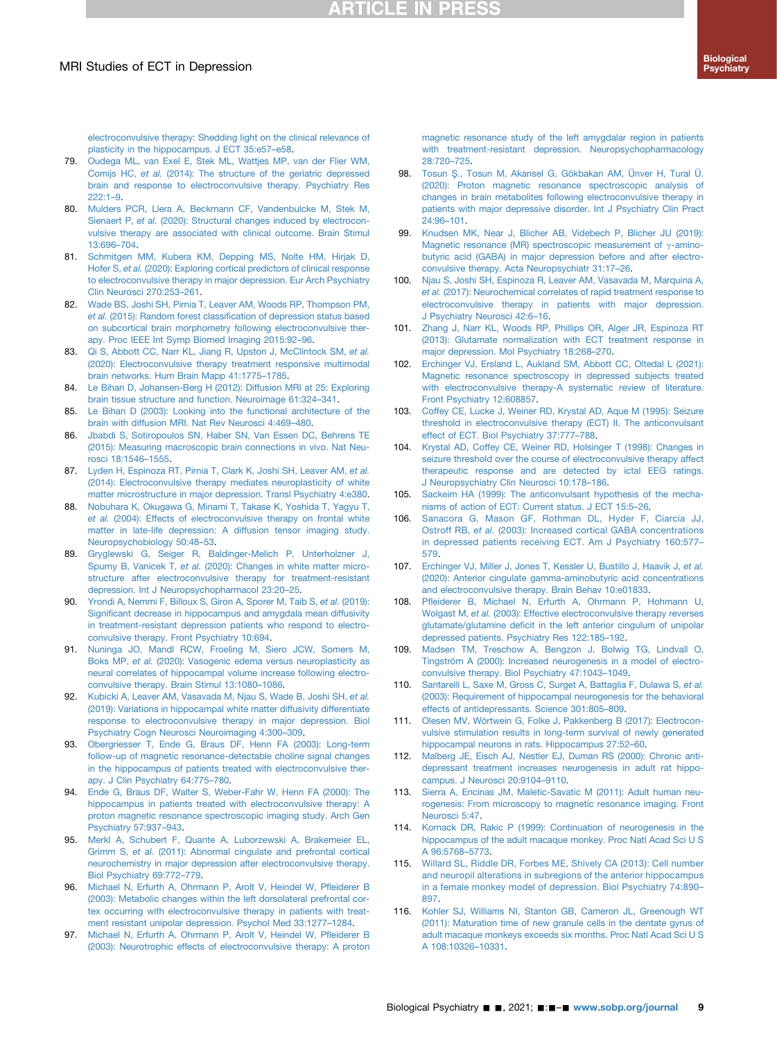## **ARTICLE IN PRESS**

[electroconvulsive therapy: Shedding light on the clinical relevance of](http://refhub.elsevier.com/S0006-3223(21)01340-8/sref78) [plasticity in the hippocampus. J ECT 35:e57](http://refhub.elsevier.com/S0006-3223(21)01340-8/sref78)–e58.

- <span id="page-8-0"></span>79. [Oudega ML, van Exel E, Stek ML, Wattjes MP, van der Flier WM,](http://refhub.elsevier.com/S0006-3223(21)01340-8/sref79) Comijs HC, et al. [\(2014\): The structure of the geriatric depressed](http://refhub.elsevier.com/S0006-3223(21)01340-8/sref79) [brain and response to electroconvulsive therapy. Psychiatry Res](http://refhub.elsevier.com/S0006-3223(21)01340-8/sref79) [222:1](http://refhub.elsevier.com/S0006-3223(21)01340-8/sref79)–9.
- <span id="page-8-1"></span>80. [Mulders PCR, Llera A, Beckmann CF, Vandenbulcke M, Stek M,](http://refhub.elsevier.com/S0006-3223(21)01340-8/sref80) Sienaert P, et al. [\(2020\): Structural changes induced by electrocon](http://refhub.elsevier.com/S0006-3223(21)01340-8/sref80)[vulsive therapy are associated with clinical outcome. Brain Stimul](http://refhub.elsevier.com/S0006-3223(21)01340-8/sref80) [13:696](http://refhub.elsevier.com/S0006-3223(21)01340-8/sref80)–704.
- <span id="page-8-2"></span>81. [Schmitgen MM, Kubera KM, Depping MS, Nolte HM, Hirjak D,](http://refhub.elsevier.com/S0006-3223(21)01340-8/sref81) Hofer S, et al. [\(2020\): Exploring cortical predictors of clinical response](http://refhub.elsevier.com/S0006-3223(21)01340-8/sref81) [to electroconvulsive therapy in major depression. Eur Arch Psychiatry](http://refhub.elsevier.com/S0006-3223(21)01340-8/sref81) [Clin Neurosci 270:253](http://refhub.elsevier.com/S0006-3223(21)01340-8/sref81)–261.
- <span id="page-8-3"></span>82. [Wade BS, Joshi SH, Pirnia T, Leaver AM, Woods RP, Thompson PM,](http://refhub.elsevier.com/S0006-3223(21)01340-8/sref82) et al. (2015): Random forest classifi[cation of depression status based](http://refhub.elsevier.com/S0006-3223(21)01340-8/sref82) [on subcortical brain morphometry following electroconvulsive ther](http://refhub.elsevier.com/S0006-3223(21)01340-8/sref82)[apy. Proc IEEE Int Symp Biomed Imaging 2015:92](http://refhub.elsevier.com/S0006-3223(21)01340-8/sref82)–96.
- <span id="page-8-4"></span>83. [Qi S, Abbott CC, Narr KL, Jiang R, Upston J, McClintock SM,](http://refhub.elsevier.com/S0006-3223(21)01340-8/sref83) et al. [\(2020\): Electroconvulsive therapy treatment responsive multimodal](http://refhub.elsevier.com/S0006-3223(21)01340-8/sref83) [brain networks. Hum Brain Mapp 41:1775](http://refhub.elsevier.com/S0006-3223(21)01340-8/sref83)–1785.
- <span id="page-8-5"></span>84. [Le Bihan D, Johansen-Berg H \(2012\): Diffusion MRI at 25: Exploring](http://refhub.elsevier.com/S0006-3223(21)01340-8/sref84) [brain tissue structure and function. Neuroimage 61:324](http://refhub.elsevier.com/S0006-3223(21)01340-8/sref84)–341.
- <span id="page-8-36"></span>85. [Le Bihan D \(2003\): Looking into the functional architecture of the](http://refhub.elsevier.com/S0006-3223(21)01340-8/sref85) [brain with diffusion MRI. Nat Rev Neurosci 4:469](http://refhub.elsevier.com/S0006-3223(21)01340-8/sref85)–480.
- 86. [Jbabdi S, Sotiropoulos SN, Haber SN, Van Essen DC, Behrens TE](http://refhub.elsevier.com/S0006-3223(21)01340-8/sref86) [\(2015\): Measuring macroscopic brain connections in vivo. Nat Neu](http://refhub.elsevier.com/S0006-3223(21)01340-8/sref86)[rosci 18:1546](http://refhub.elsevier.com/S0006-3223(21)01340-8/sref86)–1555.
- <span id="page-8-6"></span>87. [Lyden H, Espinoza RT, Pirnia T, Clark K, Joshi SH, Leaver AM,](http://refhub.elsevier.com/S0006-3223(21)01340-8/sref87) et al. [\(2014\): Electroconvulsive therapy mediates neuroplasticity of white](http://refhub.elsevier.com/S0006-3223(21)01340-8/sref87) [matter microstructure in major depression. Transl Psychiatry 4:e380.](http://refhub.elsevier.com/S0006-3223(21)01340-8/sref87)
- <span id="page-8-7"></span>88. [Nobuhara K, Okugawa G, Minami T, Takase K, Yoshida T, Yagyu T,](http://refhub.elsevier.com/S0006-3223(21)01340-8/sref88) et al. [\(2004\): Effects of electroconvulsive therapy on frontal white](http://refhub.elsevier.com/S0006-3223(21)01340-8/sref88) [matter in late-life depression: A diffusion tensor imaging study.](http://refhub.elsevier.com/S0006-3223(21)01340-8/sref88) [Neuropsychobiology 50:48](http://refhub.elsevier.com/S0006-3223(21)01340-8/sref88)–53.
- <span id="page-8-8"></span>89. [Gryglewski G, Seiger R, Baldinger-Melich P, Unterholzner J,](http://refhub.elsevier.com/S0006-3223(21)01340-8/sref89) Spurny B, Vanicek T, et al. [\(2020\): Changes in white matter micro](http://refhub.elsevier.com/S0006-3223(21)01340-8/sref89)[structure after electroconvulsive therapy for treatment-resistant](http://refhub.elsevier.com/S0006-3223(21)01340-8/sref89) [depression. Int J Neuropsychopharmacol 23:20](http://refhub.elsevier.com/S0006-3223(21)01340-8/sref89)–25.
- <span id="page-8-9"></span>90. [Yrondi A, Nemmi F, Billoux S, Giron A, Sporer M, Taib S,](http://refhub.elsevier.com/S0006-3223(21)01340-8/sref90) et al. (2019): Signifi[cant decrease in hippocampus and amygdala mean diffusivity](http://refhub.elsevier.com/S0006-3223(21)01340-8/sref90) [in treatment-resistant depression patients who respond to electro](http://refhub.elsevier.com/S0006-3223(21)01340-8/sref90)[convulsive therapy. Front Psychiatry 10:694.](http://refhub.elsevier.com/S0006-3223(21)01340-8/sref90)
- <span id="page-8-10"></span>91. [Nuninga JO, Mandl RCW, Froeling M, Siero JCW, Somers M,](http://refhub.elsevier.com/S0006-3223(21)01340-8/sref91) Boks MP, et al. [\(2020\): Vasogenic edema versus neuroplasticity as](http://refhub.elsevier.com/S0006-3223(21)01340-8/sref91) [neural correlates of hippocampal volume increase following electro](http://refhub.elsevier.com/S0006-3223(21)01340-8/sref91)[convulsive therapy. Brain Stimul 13:1080](http://refhub.elsevier.com/S0006-3223(21)01340-8/sref91)–1086.
- <span id="page-8-11"></span>92. [Kubicki A, Leaver AM, Vasavada M, Njau S, Wade B, Joshi SH,](http://refhub.elsevier.com/S0006-3223(21)01340-8/sref92) et al. [\(2019\): Variations in hippocampal white matter diffusivity differentiate](http://refhub.elsevier.com/S0006-3223(21)01340-8/sref92) [response to electroconvulsive therapy in major depression. Biol](http://refhub.elsevier.com/S0006-3223(21)01340-8/sref92) [Psychiatry Cogn Neurosci Neuroimaging 4:300](http://refhub.elsevier.com/S0006-3223(21)01340-8/sref92)–309.
- <span id="page-8-12"></span>93. [Obergriesser T, Ende G, Braus DF, Henn FA \(2003\): Long-term](http://refhub.elsevier.com/S0006-3223(21)01340-8/sref93) [follow-up of magnetic resonance-detectable choline signal changes](http://refhub.elsevier.com/S0006-3223(21)01340-8/sref93) [in the hippocampus of patients treated with electroconvulsive ther](http://refhub.elsevier.com/S0006-3223(21)01340-8/sref93)[apy. J Clin Psychiatry 64:775](http://refhub.elsevier.com/S0006-3223(21)01340-8/sref93)–780.
- <span id="page-8-16"></span>94. [Ende G, Braus DF, Walter S, Weber-Fahr W, Henn FA \(2000\): The](http://refhub.elsevier.com/S0006-3223(21)01340-8/sref94) [hippocampus in patients treated with electroconvulsive therapy: A](http://refhub.elsevier.com/S0006-3223(21)01340-8/sref94) [proton magnetic resonance spectroscopic imaging study. Arch Gen](http://refhub.elsevier.com/S0006-3223(21)01340-8/sref94) [Psychiatry 57:937](http://refhub.elsevier.com/S0006-3223(21)01340-8/sref94)–943.
- <span id="page-8-13"></span>95. [Merkl A, Schubert F, Quante A, Luborzewski A, Brakemeier EL,](http://refhub.elsevier.com/S0006-3223(21)01340-8/sref95) Grimm S, et al. [\(2011\): Abnormal cingulate and prefrontal cortical](http://refhub.elsevier.com/S0006-3223(21)01340-8/sref95) [neurochemistry in major depression after electroconvulsive therapy.](http://refhub.elsevier.com/S0006-3223(21)01340-8/sref95) [Biol Psychiatry 69:772](http://refhub.elsevier.com/S0006-3223(21)01340-8/sref95)–779.
- <span id="page-8-27"></span>96. [Michael N, Erfurth A, Ohrmann P, Arolt V, Heindel W, P](http://refhub.elsevier.com/S0006-3223(21)01340-8/sref96)fleiderer B [\(2003\): Metabolic changes within the left dorsolateral prefrontal cor](http://refhub.elsevier.com/S0006-3223(21)01340-8/sref96)[tex occurring with electroconvulsive therapy in patients with treat](http://refhub.elsevier.com/S0006-3223(21)01340-8/sref96)[ment resistant unipolar depression. Psychol Med 33:1277](http://refhub.elsevier.com/S0006-3223(21)01340-8/sref96)–1284.
- <span id="page-8-18"></span>97. [Michael N, Erfurth A, Ohrmann P, Arolt V, Heindel W, P](http://refhub.elsevier.com/S0006-3223(21)01340-8/sref97)fleiderer B [\(2003\): Neurotrophic effects of electroconvulsive therapy: A proton](http://refhub.elsevier.com/S0006-3223(21)01340-8/sref97)

[magnetic resonance study of the left amygdalar region in patients](http://refhub.elsevier.com/S0006-3223(21)01340-8/sref97) [with treatment-resistant depression. Neuropsychopharmacology](http://refhub.elsevier.com/S0006-3223(21)01340-8/sref97) [28:720](http://refhub.elsevier.com/S0006-3223(21)01340-8/sref97)–725.

- <span id="page-8-14"></span>98. [Tosun](http://refhub.elsevier.com/S0006-3223(21)01340-8/sref98) Ş[., Tosun M, Akansel G, Gökbakan AM, Ünver H, Tural Ü.](http://refhub.elsevier.com/S0006-3223(21)01340-8/sref98) [\(2020\): Proton magnetic resonance spectroscopic analysis of](http://refhub.elsevier.com/S0006-3223(21)01340-8/sref98) [changes in brain metabolites following electroconvulsive therapy in](http://refhub.elsevier.com/S0006-3223(21)01340-8/sref98) [patients with major depressive disorder. Int J Psychiatry Clin Pract](http://refhub.elsevier.com/S0006-3223(21)01340-8/sref98) [24:96](http://refhub.elsevier.com/S0006-3223(21)01340-8/sref98)–101.
- <span id="page-8-23"></span>99. [Knudsen MK, Near J, Blicher AB, Videbech P, Blicher JU \(2019\):](http://refhub.elsevier.com/S0006-3223(21)01340-8/sref99) [Magnetic resonance \(MR\) spectroscopic measurement of](http://refhub.elsevier.com/S0006-3223(21)01340-8/sref99)  $\gamma$ -amino[butyric acid \(GABA\) in major depression before and after electro](http://refhub.elsevier.com/S0006-3223(21)01340-8/sref99)[convulsive therapy. Acta Neuropsychiatr 31:17](http://refhub.elsevier.com/S0006-3223(21)01340-8/sref99)–26.
- <span id="page-8-25"></span>100. [Njau S, Joshi SH, Espinoza R, Leaver AM, Vasavada M, Marquina A,](http://refhub.elsevier.com/S0006-3223(21)01340-8/sref100) et al. [\(2017\): Neurochemical correlates of rapid treatment response to](http://refhub.elsevier.com/S0006-3223(21)01340-8/sref100) [electroconvulsive therapy in patients with major depression.](http://refhub.elsevier.com/S0006-3223(21)01340-8/sref100) [J Psychiatry Neurosci 42:6](http://refhub.elsevier.com/S0006-3223(21)01340-8/sref100)–16.
- <span id="page-8-17"></span>101. [Zhang J, Narr KL, Woods RP, Phillips OR, Alger JR, Espinoza RT](http://refhub.elsevier.com/S0006-3223(21)01340-8/sref101) [\(2013\): Glutamate normalization with ECT treatment response in](http://refhub.elsevier.com/S0006-3223(21)01340-8/sref101) [major depression. Mol Psychiatry 18:268](http://refhub.elsevier.com/S0006-3223(21)01340-8/sref101)–270.
- <span id="page-8-15"></span>102. [Erchinger VJ, Ersland L, Aukland SM, Abbott CC, Oltedal L \(2021\):](http://refhub.elsevier.com/S0006-3223(21)01340-8/sref102) [Magnetic resonance spectroscopy in depressed subjects treated](http://refhub.elsevier.com/S0006-3223(21)01340-8/sref102) [with electroconvulsive therapy-A systematic review of literature.](http://refhub.elsevier.com/S0006-3223(21)01340-8/sref102) [Front Psychiatry 12:608857.](http://refhub.elsevier.com/S0006-3223(21)01340-8/sref102)
- <span id="page-8-19"></span>103. [Coffey CE, Lucke J, Weiner RD, Krystal AD, Aque M \(1995\): Seizure](http://refhub.elsevier.com/S0006-3223(21)01340-8/sref103) [threshold in electroconvulsive therapy \(ECT\) II. The anticonvulsant](http://refhub.elsevier.com/S0006-3223(21)01340-8/sref103) [effect of ECT. Biol Psychiatry 37:777](http://refhub.elsevier.com/S0006-3223(21)01340-8/sref103)–788.
- <span id="page-8-20"></span>104. [Krystal AD, Coffey CE, Weiner RD, Holsinger T \(1998\): Changes in](http://refhub.elsevier.com/S0006-3223(21)01340-8/sref104) [seizure threshold over the course of electroconvulsive therapy affect](http://refhub.elsevier.com/S0006-3223(21)01340-8/sref104) [therapeutic response and are detected by ictal EEG ratings.](http://refhub.elsevier.com/S0006-3223(21)01340-8/sref104) [J Neuropsychiatry Clin Neurosci 10:178](http://refhub.elsevier.com/S0006-3223(21)01340-8/sref104)–186.
- <span id="page-8-21"></span>105. [Sackeim HA \(1999\): The anticonvulsant hypothesis of the mecha](http://refhub.elsevier.com/S0006-3223(21)01340-8/sref105)[nisms of action of ECT: Current status. J ECT 15:5](http://refhub.elsevier.com/S0006-3223(21)01340-8/sref105)–26.
- <span id="page-8-22"></span>106. [Sanacora G, Mason GF, Rothman DL, Hyder F, Ciarcia JJ,](http://refhub.elsevier.com/S0006-3223(21)01340-8/sref106) Ostroff RB, et al. [\(2003\): Increased cortical GABA concentrations](http://refhub.elsevier.com/S0006-3223(21)01340-8/sref106) [in depressed patients receiving ECT. Am J Psychiatry 160:577](http://refhub.elsevier.com/S0006-3223(21)01340-8/sref106)– [579.](http://refhub.elsevier.com/S0006-3223(21)01340-8/sref106)
- <span id="page-8-24"></span>107. [Erchinger VJ, Miller J, Jones T, Kessler U, Bustillo J, Haavik J,](http://refhub.elsevier.com/S0006-3223(21)01340-8/sref107) et al. [\(2020\): Anterior cingulate gamma-aminobutyric acid concentrations](http://refhub.elsevier.com/S0006-3223(21)01340-8/sref107) [and electroconvulsive therapy. Brain Behav 10:e01833](http://refhub.elsevier.com/S0006-3223(21)01340-8/sref107).
- <span id="page-8-26"></span>108. Pfl[eiderer B, Michael N, Erfurth A, Ohrmann P, Hohmann U,](http://refhub.elsevier.com/S0006-3223(21)01340-8/sref108) Wolgast M, et al. [\(2003\): Effective electroconvulsive therapy reverses](http://refhub.elsevier.com/S0006-3223(21)01340-8/sref108) glutamate/glutamine defi[cit in the left anterior cingulum of unipolar](http://refhub.elsevier.com/S0006-3223(21)01340-8/sref108) [depressed patients. Psychiatry Res 122:185](http://refhub.elsevier.com/S0006-3223(21)01340-8/sref108)–192.
- <span id="page-8-28"></span>109. [Madsen TM, Treschow A, Bengzon J, Bolwig TG, Lindvall O,](http://refhub.elsevier.com/S0006-3223(21)01340-8/sref109) [Tingström A \(2000\): Increased neurogenesis in a model of electro](http://refhub.elsevier.com/S0006-3223(21)01340-8/sref109)[convulsive therapy. Biol Psychiatry 47:1043](http://refhub.elsevier.com/S0006-3223(21)01340-8/sref109)–1049.
- <span id="page-8-29"></span>110. [Santarelli L, Saxe M, Gross C, Surget A, Battaglia F, Dulawa S,](http://refhub.elsevier.com/S0006-3223(21)01340-8/sref110) et al. [\(2003\): Requirement of hippocampal neurogenesis for the behavioral](http://refhub.elsevier.com/S0006-3223(21)01340-8/sref110) [effects of antidepressants. Science 301:805](http://refhub.elsevier.com/S0006-3223(21)01340-8/sref110)–809.
- <span id="page-8-30"></span>111. [Olesen MV, Wörtwein G, Folke J, Pakkenberg B \(2017\): Electrocon](http://refhub.elsevier.com/S0006-3223(21)01340-8/sref111)[vulsive stimulation results in long-term survival of newly generated](http://refhub.elsevier.com/S0006-3223(21)01340-8/sref111) [hippocampal neurons in rats. Hippocampus 27:52](http://refhub.elsevier.com/S0006-3223(21)01340-8/sref111)–60.
- <span id="page-8-31"></span>112. [Malberg JE, Eisch AJ, Nestler EJ, Duman RS \(2000\): Chronic anti](http://refhub.elsevier.com/S0006-3223(21)01340-8/sref112)[depressant treatment increases neurogenesis in adult rat hippo](http://refhub.elsevier.com/S0006-3223(21)01340-8/sref112)[campus. J Neurosci 20:9104](http://refhub.elsevier.com/S0006-3223(21)01340-8/sref112)–9110.
- <span id="page-8-32"></span>113. [Sierra A, Encinas JM, Maletic-Savatic M \(2011\): Adult human neu](http://refhub.elsevier.com/S0006-3223(21)01340-8/sref113)[rogenesis: From microscopy to magnetic resonance imaging. Front](http://refhub.elsevier.com/S0006-3223(21)01340-8/sref113) [Neurosci 5:47](http://refhub.elsevier.com/S0006-3223(21)01340-8/sref113).
- <span id="page-8-33"></span>114. [Kornack DR, Rakic P \(1999\): Continuation of neurogenesis in the](http://refhub.elsevier.com/S0006-3223(21)01340-8/sref114) [hippocampus of the adult macaque monkey. Proc Natl Acad Sci U S](http://refhub.elsevier.com/S0006-3223(21)01340-8/sref114) [A 96:5768](http://refhub.elsevier.com/S0006-3223(21)01340-8/sref114)–5773.
- <span id="page-8-34"></span>115. [Willard SL, Riddle DR, Forbes ME, Shively CA \(2013\): Cell number](http://refhub.elsevier.com/S0006-3223(21)01340-8/sref115) [and neuropil alterations in subregions of the anterior hippocampus](http://refhub.elsevier.com/S0006-3223(21)01340-8/sref115) [in a female monkey model of depression. Biol Psychiatry 74:890](http://refhub.elsevier.com/S0006-3223(21)01340-8/sref115)– [897.](http://refhub.elsevier.com/S0006-3223(21)01340-8/sref115)
- <span id="page-8-35"></span>116. [Kohler SJ, Williams NI, Stanton GB, Cameron JL, Greenough WT](http://refhub.elsevier.com/S0006-3223(21)01340-8/sref116) [\(2011\): Maturation time of new granule cells in the dentate gyrus of](http://refhub.elsevier.com/S0006-3223(21)01340-8/sref116) [adult macaque monkeys exceeds six months. Proc Natl Acad Sci U S](http://refhub.elsevier.com/S0006-3223(21)01340-8/sref116) [A 108:10326](http://refhub.elsevier.com/S0006-3223(21)01340-8/sref116)–10331.